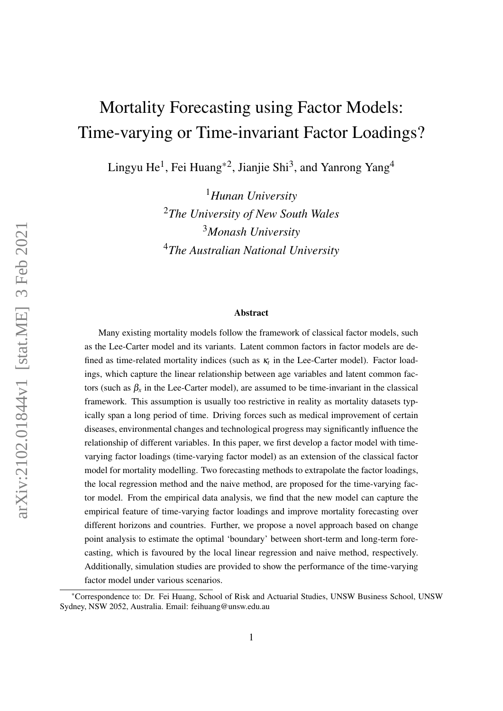# Mortality Forecasting using Factor Models: Time-varying or Time-invariant Factor Loadings?

Lingyu He $^1$ , Fei Huang $^{\ast 2}$ , Jianjie Shi $^3$ , and Yanrong Yang $^4$ 

*Hunan University The University of New South Wales Monash University The Australian National University*

#### Abstract

Many existing mortality models follow the framework of classical factor models, such as the Lee-Carter model and its variants. Latent common factors in factor models are defined as time-related mortality indices (such as  $\kappa_t$  in the Lee-Carter model). Factor loadings, which capture the linear relationship between age variables and latent common factors (such as  $\beta_x$  in the Lee-Carter model), are assumed to be time-invariant in the classical framework. This assumption is usually too restrictive in reality as mortality datasets typically span a long period of time. Driving forces such as medical improvement of certain diseases, environmental changes and technological progress may significantly influence the relationship of different variables. In this paper, we first develop a factor model with timevarying factor loadings (time-varying factor model) as an extension of the classical factor model for mortality modelling. Two forecasting methods to extrapolate the factor loadings, the local regression method and the naive method, are proposed for the time-varying factor model. From the empirical data analysis, we find that the new model can capture the empirical feature of time-varying factor loadings and improve mortality forecasting over different horizons and countries. Further, we propose a novel approach based on change point analysis to estimate the optimal 'boundary' between short-term and long-term forecasting, which is favoured by the local linear regression and naive method, respectively. Additionally, simulation studies are provided to show the performance of the time-varying factor model under various scenarios.

<sup>\*</sup>Correspondence to: Dr. Fei Huang, School of Risk and Actuarial Studies, UNSW Business School, UNSW Sydney, NSW 2052, Australia. Email: feihuang@unsw.edu.au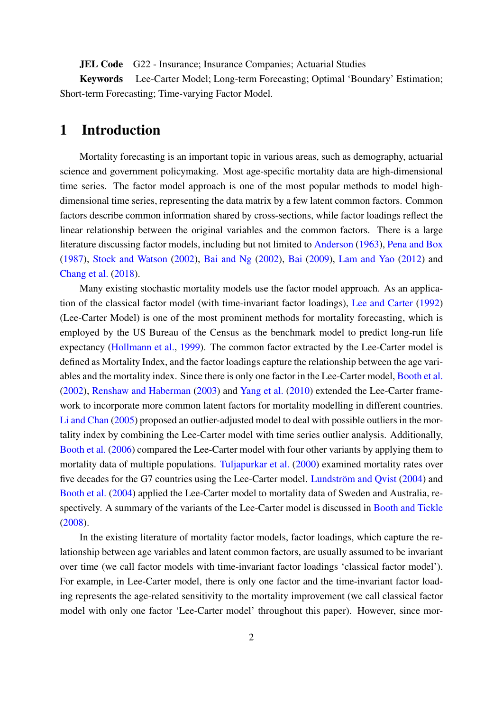JEL Code G22 - Insurance; Insurance Companies; Actuarial Studies

Keywords Lee-Carter Model; Long-term Forecasting; Optimal 'Boundary' Estimation; Short-term Forecasting; Time-varying Factor Model.

# <span id="page-1-0"></span>1 Introduction

Mortality forecasting is an important topic in various areas, such as demography, actuarial science and government policymaking. Most age-specific mortality data are high-dimensional time series. The factor model approach is one of the most popular methods to model highdimensional time series, representing the data matrix by a few latent common factors. Common factors describe common information shared by cross-sections, while factor loadings reflect the linear relationship between the original variables and the common factors. There is a large literature discussing factor models, including but not limited to [Anderson](#page-30-0) [\(1963\)](#page-30-0), [Pena and Box](#page-32-0) [\(1987\)](#page-32-0), [Stock and Watson](#page-33-0) [\(2002\)](#page-33-0), [Bai and Ng](#page-31-0) [\(2002\)](#page-31-0), [Bai](#page-30-1) [\(2009\)](#page-30-1), [Lam and Yao](#page-32-1) [\(2012\)](#page-32-1) and [Chang et al.](#page-31-1) [\(2018\)](#page-31-1).

Many existing stochastic mortality models use the factor model approach. As an application of the classical factor model (with time-invariant factor loadings), [Lee and Carter](#page-32-2) [\(1992\)](#page-32-2) (Lee-Carter Model) is one of the most prominent methods for mortality forecasting, which is employed by the US Bureau of the Census as the benchmark model to predict long-run life expectancy [\(Hollmann et al.,](#page-32-3) [1999\)](#page-32-3). The common factor extracted by the Lee-Carter model is defined as Mortality Index, and the factor loadings capture the relationship between the age variables and the mortality index. Since there is only one factor in the Lee-Carter model, [Booth et al.](#page-31-2) [\(2002\)](#page-31-2), [Renshaw and Haberman](#page-33-1) [\(2003\)](#page-33-1) and [Yang et al.](#page-33-2) [\(2010\)](#page-33-2) extended the Lee-Carter framework to incorporate more common latent factors for mortality modelling in different countries. [Li and Chan](#page-32-4) [\(2005\)](#page-32-4) proposed an outlier-adjusted model to deal with possible outliers in the mortality index by combining the Lee-Carter model with time series outlier analysis. Additionally, [Booth et al.](#page-31-3) [\(2006\)](#page-31-3) compared the Lee-Carter model with four other variants by applying them to mortality data of multiple populations. [Tuljapurkar et al.](#page-33-3) [\(2000\)](#page-33-3) examined mortality rates over five decades for the G7 countries using the Lee-Carter model. Lundström and Qvist [\(2004\)](#page-32-5) and [Booth et al.](#page-31-4) [\(2004\)](#page-31-4) applied the Lee-Carter model to mortality data of Sweden and Australia, respectively. A summary of the variants of the Lee-Carter model is discussed in [Booth and Tickle](#page-31-5) [\(2008\)](#page-31-5).

In the existing literature of mortality factor models, factor loadings, which capture the relationship between age variables and latent common factors, are usually assumed to be invariant over time (we call factor models with time-invariant factor loadings 'classical factor model'). For example, in Lee-Carter model, there is only one factor and the time-invariant factor loading represents the age-related sensitivity to the mortality improvement (we call classical factor model with only one factor 'Lee-Carter model' throughout this paper). However, since mor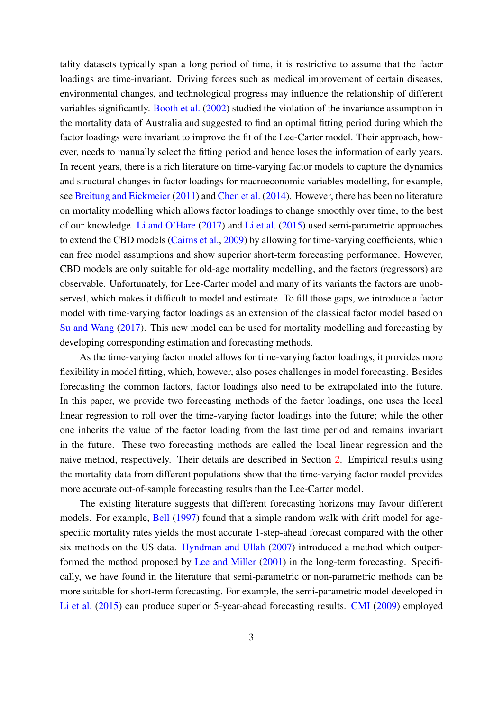tality datasets typically span a long period of time, it is restrictive to assume that the factor loadings are time-invariant. Driving forces such as medical improvement of certain diseases, environmental changes, and technological progress may influence the relationship of different variables significantly. [Booth et al.](#page-31-2) [\(2002\)](#page-31-2) studied the violation of the invariance assumption in the mortality data of Australia and suggested to find an optimal fitting period during which the factor loadings were invariant to improve the fit of the Lee-Carter model. Their approach, however, needs to manually select the fitting period and hence loses the information of early years. In recent years, there is a rich literature on time-varying factor models to capture the dynamics and structural changes in factor loadings for macroeconomic variables modelling, for example, see [Breitung and Eickmeier](#page-31-6) [\(2011\)](#page-31-6) and [Chen et al.](#page-31-7) [\(2014\)](#page-31-7). However, there has been no literature on mortality modelling which allows factor loadings to change smoothly over time, to the best of our knowledge. [Li and O'Hare](#page-32-6) [\(2017\)](#page-32-6) and [Li et al.](#page-32-7) [\(2015\)](#page-32-7) used semi-parametric approaches to extend the CBD models [\(Cairns et al.,](#page-31-8) [2009\)](#page-31-8) by allowing for time-varying coefficients, which can free model assumptions and show superior short-term forecasting performance. However, CBD models are only suitable for old-age mortality modelling, and the factors (regressors) are observable. Unfortunately, for Lee-Carter model and many of its variants the factors are unobserved, which makes it difficult to model and estimate. To fill those gaps, we introduce a factor model with time-varying factor loadings as an extension of the classical factor model based on [Su and Wang](#page-33-4) [\(2017\)](#page-33-4). This new model can be used for mortality modelling and forecasting by developing corresponding estimation and forecasting methods.

As the time-varying factor model allows for time-varying factor loadings, it provides more flexibility in model fitting, which, however, also poses challenges in model forecasting. Besides forecasting the common factors, factor loadings also need to be extrapolated into the future. In this paper, we provide two forecasting methods of the factor loadings, one uses the local linear regression to roll over the time-varying factor loadings into the future; while the other one inherits the value of the factor loading from the last time period and remains invariant in the future. These two forecasting methods are called the local linear regression and the naive method, respectively. Their details are described in Section [2.](#page-3-0) Empirical results using the mortality data from different populations show that the time-varying factor model provides more accurate out-of-sample forecasting results than the Lee-Carter model.

The existing literature suggests that different forecasting horizons may favour different models. For example, [Bell](#page-31-9) [\(1997\)](#page-31-9) found that a simple random walk with drift model for agespecific mortality rates yields the most accurate 1-step-ahead forecast compared with the other six methods on the US data. [Hyndman and Ullah](#page-32-8) [\(2007\)](#page-32-8) introduced a method which outperformed the method proposed by [Lee and Miller](#page-32-9) [\(2001\)](#page-32-9) in the long-term forecasting. Specifically, we have found in the literature that semi-parametric or non-parametric methods can be more suitable for short-term forecasting. For example, the semi-parametric model developed in [Li et al.](#page-32-7) [\(2015\)](#page-32-7) can produce superior 5-year-ahead forecasting results. [CMI](#page-31-10) [\(2009\)](#page-31-10) employed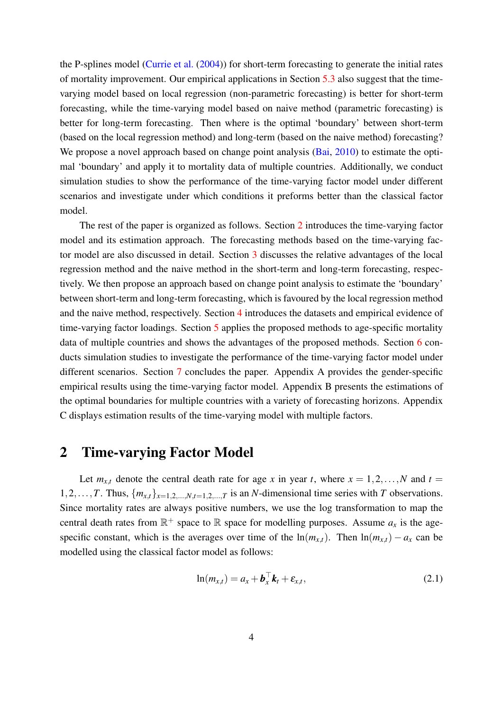the P-splines model [\(Currie et al.](#page-31-11) [\(2004\)](#page-31-11)) for short-term forecasting to generate the initial rates of mortality improvement. Our empirical applications in Section [5.3](#page-20-0) also suggest that the timevarying model based on local regression (non-parametric forecasting) is better for short-term forecasting, while the time-varying model based on naive method (parametric forecasting) is better for long-term forecasting. Then where is the optimal 'boundary' between short-term (based on the local regression method) and long-term (based on the naive method) forecasting? We propose a novel approach based on change point analysis [\(Bai,](#page-31-12) [2010\)](#page-31-12) to estimate the optimal 'boundary' and apply it to mortality data of multiple countries. Additionally, we conduct simulation studies to show the performance of the time-varying factor model under different scenarios and investigate under which conditions it preforms better than the classical factor model.

The rest of the paper is organized as follows. Section [2](#page-3-0) introduces the time-varying factor model and its estimation approach. The forecasting methods based on the time-varying factor model are also discussed in detail. Section [3](#page-10-0) discusses the relative advantages of the local regression method and the naive method in the short-term and long-term forecasting, respectively. We then propose an approach based on change point analysis to estimate the 'boundary' between short-term and long-term forecasting, which is favoured by the local regression method and the naive method, respectively. Section [4](#page-12-0) introduces the datasets and empirical evidence of time-varying factor loadings. Section [5](#page-13-0) applies the proposed methods to age-specific mortality data of multiple countries and shows the advantages of the proposed methods. Section [6](#page-26-0) conducts simulation studies to investigate the performance of the time-varying factor model under different scenarios. Section [7](#page-30-2) concludes the paper. Appendix A provides the gender-specific empirical results using the time-varying factor model. Appendix B presents the estimations of the optimal boundaries for multiple countries with a variety of forecasting horizons. Appendix C displays estimation results of the time-varying model with multiple factors.

### <span id="page-3-0"></span>2 Time-varying Factor Model

Let  $m_{x,t}$  denote the central death rate for age *x* in year *t*, where  $x = 1, 2, ..., N$  and  $t =$ 1,2,...,*T*. Thus,  ${m_{x,t}}_{x=1,2,...,N,t=1,2,...,T}$  is an *N*-dimensional time series with *T* observations. Since mortality rates are always positive numbers, we use the log transformation to map the central death rates from  $\mathbb{R}^+$  space to  $\mathbb R$  space for modelling purposes. Assume  $a_x$  is the agespecific constant, which is the averages over time of the  $ln(m_{x,t})$ . Then  $ln(m_{x,t}) - a_x$  can be modelled using the classical factor model as follows:

$$
\ln(m_{x,t}) = a_x + \boldsymbol{b}_x^{\top} \boldsymbol{k}_t + \boldsymbol{\varepsilon}_{x,t},
$$
\n(2.1)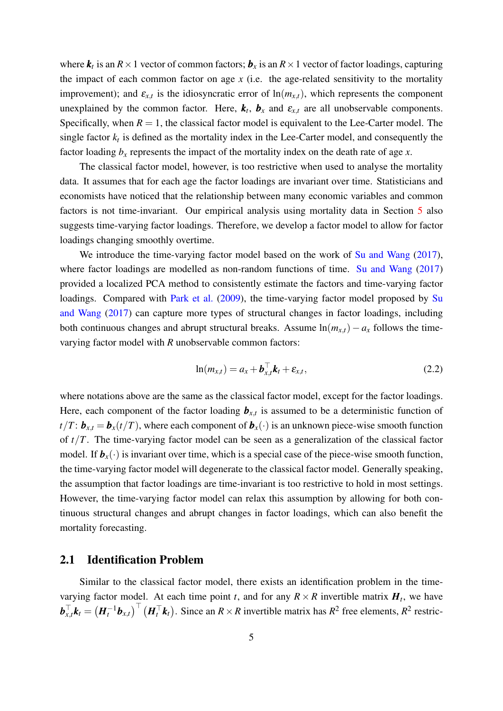where  $k_t$  is an  $R \times 1$  vector of common factors;  $b_x$  is an  $R \times 1$  vector of factor loadings, capturing the impact of each common factor on age *x* (i.e. the age-related sensitivity to the mortality improvement); and  $\varepsilon_{x,t}$  is the idiosyncratic error of  $\ln(m_{x,t})$ , which represents the component unexplained by the common factor. Here,  $\mathbf{k}_t$ ,  $\mathbf{b}_x$  and  $\mathbf{\varepsilon}_{x,t}$  are all unobservable components. Specifically, when  $R = 1$ , the classical factor model is equivalent to the Lee-Carter model. The single factor  $k_t$  is defined as the mortality index in the Lee-Carter model, and consequently the factor loading  $b_x$  represents the impact of the mortality index on the death rate of age  $x$ .

The classical factor model, however, is too restrictive when used to analyse the mortality data. It assumes that for each age the factor loadings are invariant over time. Statisticians and economists have noticed that the relationship between many economic variables and common factors is not time-invariant. Our empirical analysis using mortality data in Section [5](#page-13-0) also suggests time-varying factor loadings. Therefore, we develop a factor model to allow for factor loadings changing smoothly overtime.

We introduce the time-varying factor model based on the work of [Su and Wang](#page-33-4) [\(2017\)](#page-33-4), where factor loadings are modelled as non-random functions of time. [Su and Wang](#page-33-4) [\(2017\)](#page-33-4) provided a localized PCA method to consistently estimate the factors and time-varying factor loadings. Compared with [Park et al.](#page-32-10) [\(2009\)](#page-32-10), the time-varying factor model proposed by [Su](#page-33-4) [and Wang](#page-33-4) [\(2017\)](#page-33-4) can capture more types of structural changes in factor loadings, including both continuous changes and abrupt structural breaks. Assume  $ln(m_{x,t}) - a_x$  follows the timevarying factor model with *R* unobservable common factors:

$$
\ln(m_{x,t}) = a_x + \boldsymbol{b}_{x,t}^{\top} \boldsymbol{k}_t + \boldsymbol{\varepsilon}_{x,t},
$$
\n(2.2)

where notations above are the same as the classical factor model, except for the factor loadings. Here, each component of the factor loading  $\mathbf{b}_{x,t}$  is assumed to be a deterministic function of  $t/T$ :  $\mathbf{b}_{x,t} = \mathbf{b}_x(t/T)$ , where each component of  $\mathbf{b}_x(\cdot)$  is an unknown piece-wise smooth function of *t*/*T*. The time-varying factor model can be seen as a generalization of the classical factor model. If  $\mathbf{b}_x(\cdot)$  is invariant over time, which is a special case of the piece-wise smooth function, the time-varying factor model will degenerate to the classical factor model. Generally speaking, the assumption that factor loadings are time-invariant is too restrictive to hold in most settings. However, the time-varying factor model can relax this assumption by allowing for both continuous structural changes and abrupt changes in factor loadings, which can also benefit the mortality forecasting.

#### <span id="page-4-0"></span>2.1 Identification Problem

Similar to the classical factor model, there exists an identification problem in the timevarying factor model. At each time point *t*, and for any  $R \times R$  invertible matrix  $H_t$ , we have  $\bm{b}_\text{x}^\top$  $\overline{f}_{x,t}$  $k_t = (H_t^{-1}b_{x,t})^\top (H_t^\top k_t)$ **. Since an**  $R \times R$  **invertible matrix has**  $R^2$  **free elements,**  $R^2$  **restric-**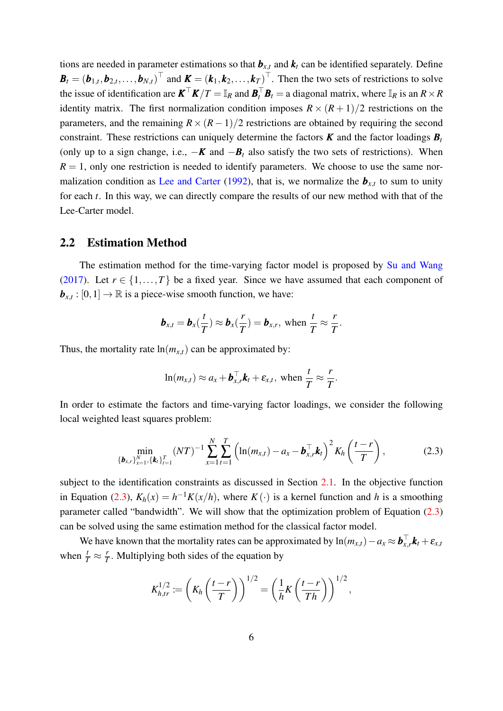tions are needed in parameter estimations so that  $\mathbf{b}_{x,t}$  and  $\mathbf{k}_t$  can be identified separately. Define  $\boldsymbol{B}_t = (\boldsymbol{b}_{1,t}, \boldsymbol{b}_{2,t}, \dots, \boldsymbol{b}_{N,t})^\top$  and  $\boldsymbol{K} = (\boldsymbol{k}_1, \boldsymbol{k}_2, \dots, \boldsymbol{k}_T)^\top$ . Then the two sets of restrictions to solve the issue of identification are  $K^{\top}K/T = \mathbb{I}_R$  and  $B_t^{\top}B_t =$  a diagonal matrix, where  $\mathbb{I}_R$  is an  $R \times R$ identity matrix. The first normalization condition imposes  $R \times (R+1)/2$  restrictions on the parameters, and the remaining  $R \times (R-1)/2$  restrictions are obtained by requiring the second constraint. These restrictions can uniquely determine the factors  $\boldsymbol{K}$  and the factor loadings  $\boldsymbol{B}_t$ (only up to a sign change, i.e.,  $-\mathbf{K}$  and  $-\mathbf{B}_t$  also satisfy the two sets of restrictions). When  $R = 1$ , only one restriction is needed to identify parameters. We choose to use the same nor-malization condition as [Lee and Carter](#page-32-2) [\(1992\)](#page-32-2), that is, we normalize the  $b_{x,t}$  to sum to unity for each *t*. In this way, we can directly compare the results of our new method with that of the Lee-Carter model.

#### <span id="page-5-1"></span>2.2 Estimation Method

The estimation method for the time-varying factor model is proposed by [Su and Wang](#page-33-4) [\(2017\)](#page-33-4). Let  $r \in \{1, ..., T\}$  be a fixed year. Since we have assumed that each component of  $\mathbf{b}_{x,t} : [0,1] \to \mathbb{R}$  is a piece-wise smooth function, we have:

$$
\boldsymbol{b}_{x,t} = \boldsymbol{b}_x(\frac{t}{T}) \approx \boldsymbol{b}_x(\frac{r}{T}) = \boldsymbol{b}_{x,r}, \text{ when } \frac{t}{T} \approx \frac{r}{T}.
$$

Thus, the mortality rate  $ln(m_{x,t})$  can be approximated by:

<span id="page-5-0"></span>
$$
\ln(m_{x,t}) \approx a_x + \boldsymbol{b}_{x,r}^\top \boldsymbol{k}_t + \boldsymbol{\varepsilon}_{x,t}, \text{ when } \frac{t}{T} \approx \frac{r}{T}.
$$

In order to estimate the factors and time-varying factor loadings, we consider the following local weighted least squares problem:

$$
\min_{\{\boldsymbol{b}_{x,r}\}_{x=1}^N,\{\boldsymbol{k}_t\}_{t=1}^T} (NT)^{-1} \sum_{x=1}^N \sum_{t=1}^T \left( \ln(m_{x,t}) - a_x - \boldsymbol{b}_{x,r}^\top \boldsymbol{k}_t \right)^2 K_h \left( \frac{t-r}{T} \right), \tag{2.3}
$$

subject to the identification constraints as discussed in Section [2.1.](#page-4-0) In the objective function in Equation [\(2.3\)](#page-5-0),  $K_h(x) = h^{-1}K(x/h)$ , where  $K(\cdot)$  is a kernel function and *h* is a smoothing parameter called "bandwidth". We will show that the optimization problem of Equation [\(2.3\)](#page-5-0) can be solved using the same estimation method for the classical factor model.

We have known that the mortality rates can be approximated by  $ln(m_{x,t}) - a_x \approx b_x^{\top}$  $\mathbf{r}_{x,r}^{\top} \mathbf{k}_t + \mathbf{\varepsilon}_{x,t}$ when  $\frac{t}{T} \approx \frac{r}{T}$  $\frac{r}{T}$ . Multiplying both sides of the equation by

$$
K_{h,tr}^{1/2} \coloneqq \left( K_h \left( \frac{t-r}{T} \right) \right)^{1/2} = \left( \frac{1}{h} K \left( \frac{t-r}{Th} \right) \right)^{1/2},
$$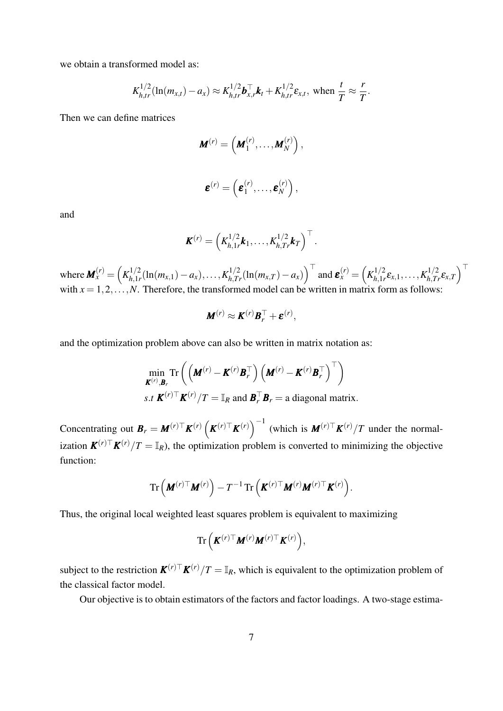we obtain a transformed model as:

$$
K_{h,tr}^{1/2}(\ln(m_{x,t}) - a_x) \approx K_{h,tr}^{1/2} \mathbf{b}_{x,r}^{\top} \mathbf{k}_t + K_{h,tr}^{1/2} \varepsilon_{x,t}
$$
, when  $\frac{t}{T} \approx \frac{r}{T}$ .

Then we can define matrices

$$
\boldsymbol{M}^{(r)} = \left(\boldsymbol{M}_1^{(r)}, \ldots, \boldsymbol{M}_N^{(r)}\right),
$$
  

$$
\boldsymbol{\varepsilon}^{(r)} = \left(\boldsymbol{\varepsilon}_1^{(r)}, \ldots, \boldsymbol{\varepsilon}_N^{(r)}\right),
$$

and

$$
\boldsymbol{K}^{(r)}=\left(K_{h,1r}^{1/2}\boldsymbol{k}_1,\ldots,K_{h,Tr}^{1/2}\boldsymbol{k}_T\right)^{\top}.
$$

where  $M_x^{(r)} = \left( K_{h,1}^{1/2} \right)$  $\int_{h,1/r}^{1/2} (\ln(m_{x,1}) - a_x), \ldots, K_{h,Tr}^{1/2} (\ln(m_{x,T}) - a_x) \Big)^{\top}$  and  $\boldsymbol{\varepsilon}_x^{(r)} = \left( K_{h,1,r}^{1/2} \right)$  $\kappa_{h,1r}^{1/2}$ ε $_{x,1},\ldots,K_{h,Tr}^{1/2}$ ε $_{x,T}$  $\big)^{\top}$ with  $x = 1, 2, \ldots, N$ . Therefore, the transformed model can be written in matrix form as follows:

$$
\mathbf{M}^{(r)} \approx \mathbf{K}^{(r)} \mathbf{B}_r^{\top} + \boldsymbol{\varepsilon}^{(r)},
$$

and the optimization problem above can also be written in matrix notation as:

$$
\min_{\boldsymbol{K}^{(r)}, \boldsymbol{B}_r} \text{Tr}\left(\left(\boldsymbol{M}^{(r)} - \boldsymbol{K}^{(r)} \boldsymbol{B}_r^\top\right) \left(\boldsymbol{M}^{(r)} - \boldsymbol{K}^{(r)} \boldsymbol{B}_r^\top\right)^\top\right)
$$
  
s.t  $\boldsymbol{K}^{(r)\top} \boldsymbol{K}^{(r)}/T = \mathbb{I}_R$  and  $\boldsymbol{B}_r^\top \boldsymbol{B}_r =$ a diagonal matrix.

Concentrating out  $B_r = M^{(r)\top} K^{(r)} \left( K^{(r)\top} K^{(r)} \right)^{-1}$  (which is  $M^{(r)\top} K^{(r)}/T$  under the normalization  $K^{(r)}$ <sup>T</sup> $K^{(r)}/T = \mathbb{I}_R$ ), the optimization problem is converted to minimizing the objective function:

$$
\mathrm{Tr}\left(\pmb{M}^{(r)\top}\pmb{M}^{(r)}\right)-T^{-1}\mathrm{Tr}\left(\pmb{K}^{(r)\top}\pmb{M}^{(r)}\pmb{M}^{(r)\top}\pmb{K}^{(r)}\right).
$$

Thus, the original local weighted least squares problem is equivalent to maximizing

$$
\mathrm{Tr}\left(\pmb{K}^{(r)\top}\pmb{M}^{(r)}\pmb{M}^{(r)\top}\pmb{K}^{(r)}\right),
$$

subject to the restriction  $K^{(r)}|T = \mathbb{I}_R$ , which is equivalent to the optimization problem of the classical factor model.

Our objective is to obtain estimators of the factors and factor loadings. A two-stage estima-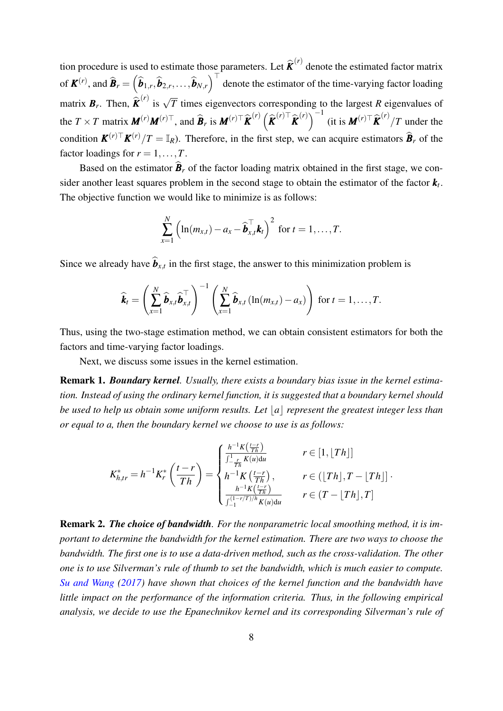tion procedure is used to estimate those parameters. Let  $\hat{\boldsymbol{K}}^{(r)}$  denote the estimated factor matrix of  $\mathbf{K}^{(r)}$ , and  $\widehat{\mathbf{B}}_r = (\widehat{\boldsymbol{b}}_{1,r}, \widehat{\boldsymbol{b}}_{2,r}, \dots, \widehat{\boldsymbol{b}}_{N,r})$  $\int_{0}^{\tau}$  denote the estimator of the time-varying factor loading matrix  $\mathbf{B}_r$ . Then,  $\hat{\mathbf{K}}^{(r)}$  is  $\sqrt{T}$  times eigenvectors corresponding to the largest *R* eigenvalues of the  $T \times T$  matrix  $\mathbf{M}^{(r)} \mathbf{M}^{(r)\top}$ , and  $\widehat{\mathbf{B}}_r$  is  $\mathbf{M}^{(r)\top} \widehat{\mathbf{K}}^{(r)} \left( \widehat{\mathbf{K}}^{(r)\top} \widehat{\mathbf{K}}^{(r)} \right)^{-1}$  (it is  $\mathbf{M}^{(r)\top} \widehat{\mathbf{K}}^{(r)} / T$  under the condition  $K^{(r)\top}K^{(r)}/T = \mathbb{I}_R$ ). Therefore, in the first step, we can acquire estimators  $\hat{B}_r$  of the factor loadings for  $r = 1, \ldots, T$ .

Based on the estimator  $\hat{\boldsymbol{B}}_r$  of the factor loading matrix obtained in the first stage, we consider another least squares problem in the second stage to obtain the estimator of the factor  $k_t$ . The objective function we would like to minimize is as follows:

$$
\sum_{x=1}^N \left( \ln(m_{x,t}) - a_x - \widehat{\boldsymbol{b}}_{x,t}^\top \boldsymbol{k}_t \right)^2 \text{ for } t = 1,\ldots,T.
$$

Since we already have  $\mathbf{b}_{x,t}$  in the first stage, the answer to this minimization problem is

$$
\widehat{\boldsymbol{k}}_t = \left(\sum_{x=1}^N \widehat{\boldsymbol{b}}_{x,t} \widehat{\boldsymbol{b}}_{x,t}^\top \right)^{-1} \left(\sum_{x=1}^N \widehat{\boldsymbol{b}}_{x,t} \left(\ln(m_{x,t}) - a_x\right)\right) \text{ for } t = 1,\ldots,T.
$$

Thus, using the two-stage estimation method, we can obtain consistent estimators for both the factors and time-varying factor loadings.

Next, we discuss some issues in the kernel estimation.

Remark 1. *Boundary kernel. Usually, there exists a boundary bias issue in the kernel estimation. Instead of using the ordinary kernel function, it is suggested that a boundary kernel should be used to help us obtain some uniform results. Let*  $|a|$  *represent the greatest integer less than or equal to a, then the boundary kernel we choose to use is as follows:*

$$
K_{h,tr}^{*} = h^{-1} K_{r}^{*} \left( \frac{t-r}{Th} \right) = \begin{cases} \frac{h^{-1} K \left( \frac{t-r}{Th} \right)}{\int_{-\frac{r}{Th}}^1 K(u) \, du} & r \in [1, \lfloor Th \rfloor] \\ h^{-1} K \left( \frac{t-r}{Th} \right), & r \in (\lfloor Th \rfloor, T - \lfloor Th \rfloor] \\ \frac{h^{-1} K \left( \frac{t-r}{Th} \right)}{\int_{-1}^{\left(1 - r/T \right) / h} K(u) \, du} & r \in (T - \lfloor Th \rfloor, T] \end{cases}
$$

.

Remark 2. *The choice of bandwidth. For the nonparametric local smoothing method, it is important to determine the bandwidth for the kernel estimation. There are two ways to choose the bandwidth. The first one is to use a data-driven method, such as the cross-validation. The other one is to use Silverman's rule of thumb to set the bandwidth, which is much easier to compute. [Su and Wang](#page-33-4) [\(2017\)](#page-33-4) have shown that choices of the kernel function and the bandwidth have little impact on the performance of the information criteria. Thus, in the following empirical analysis, we decide to use the Epanechnikov kernel and its corresponding Silverman's rule of*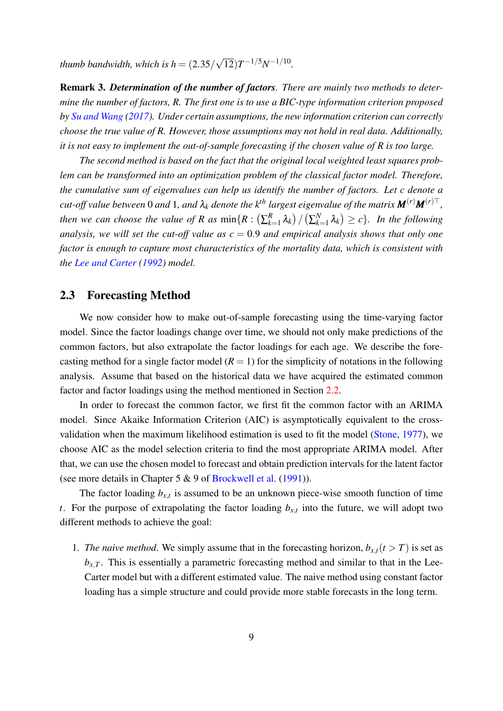*thumb bandwidth, which is h* = (2.35/ √  $\sqrt{12}$  $T^{-1/5}N^{-1/10}$ .

Remark 3. *Determination of the number of factors. There are mainly two methods to determine the number of factors, R. The first one is to use a BIC-type information criterion proposed by [Su and Wang](#page-33-4) [\(2017\)](#page-33-4). Under certain assumptions, the new information criterion can correctly choose the true value of R. However, those assumptions may not hold in real data. Additionally, it is not easy to implement the out-of-sample forecasting if the chosen value of R is too large.*

*The second method is based on the fact that the original local weighted least squares problem can be transformed into an optimization problem of the classical factor model. Therefore, the cumulative sum of eigenvalues can help us identify the number of factors. Let c denote a cut-off value between* 0 *and* 1, *and*  $\lambda_k$  *denote the*  $k^{th}$  *largest eigenvalue of the matrix*  $M^{(r)}M^{(r)\top}$ , *then we can choose the value of R as*  $\min\{R : \left(\sum_{k=1}^{R} P_k\right) | \sum_{k=1}^{R} P_k\}$  $\binom{R}{k=1}\lambda_k/\left(\sum_{k=1}^N\right)$  $\{f_{k=1}^{N} \lambda_{k}\} \geq c$ . In the following *analysis, we will set the cut-off value as c* = 0.9 *and empirical analysis shows that only one factor is enough to capture most characteristics of the mortality data, which is consistent with the [Lee and Carter](#page-32-2) [\(1992\)](#page-32-2) model.*

#### <span id="page-8-0"></span>2.3 Forecasting Method

We now consider how to make out-of-sample forecasting using the time-varying factor model. Since the factor loadings change over time, we should not only make predictions of the common factors, but also extrapolate the factor loadings for each age. We describe the forecasting method for a single factor model  $(R = 1)$  for the simplicity of notations in the following analysis. Assume that based on the historical data we have acquired the estimated common factor and factor loadings using the method mentioned in Section [2.2.](#page-5-1)

In order to forecast the common factor, we first fit the common factor with an ARIMA model. Since Akaike Information Criterion (AIC) is asymptotically equivalent to the crossvalidation when the maximum likelihood estimation is used to fit the model [\(Stone,](#page-33-5) [1977\)](#page-33-5), we choose AIC as the model selection criteria to find the most appropriate ARIMA model. After that, we can use the chosen model to forecast and obtain prediction intervals for the latent factor (see more details in Chapter 5 & 9 of [Brockwell et al.](#page-31-13) [\(1991\)](#page-31-13)).

The factor loading  $b_{x,t}$  is assumed to be an unknown piece-wise smooth function of time *t*. For the purpose of extrapolating the factor loading  $b_{x,t}$  into the future, we will adopt two different methods to achieve the goal:

1. *The naive method*. We simply assume that in the forecasting horizon,  $b_{x,t}$  ( $t > T$ ) is set as  $b_{x,T}$ . This is essentially a parametric forecasting method and similar to that in the Lee-Carter model but with a different estimated value. The naive method using constant factor loading has a simple structure and could provide more stable forecasts in the long term.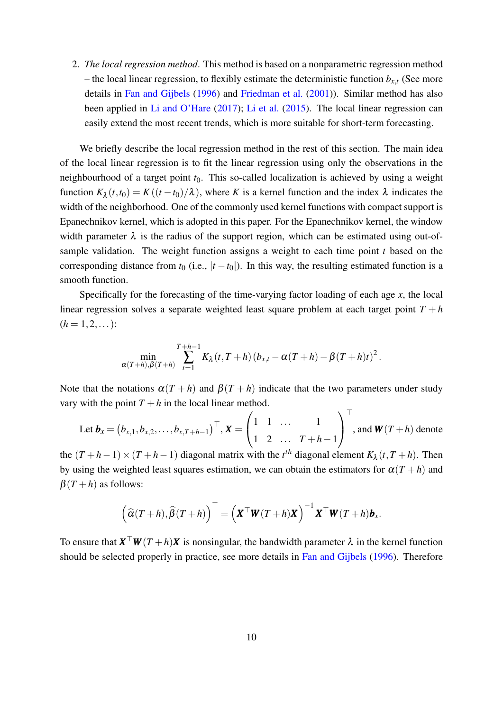2. *The local regression method*. This method is based on a nonparametric regression method – the local linear regression, to flexibly estimate the deterministic function  $b_{x,t}$  (See more details in [Fan and Gijbels](#page-32-11) [\(1996\)](#page-32-11) and [Friedman et al.](#page-32-12) [\(2001\)](#page-32-12)). Similar method has also been applied in [Li and O'Hare](#page-32-6) [\(2017\)](#page-32-6); [Li et al.](#page-32-7) [\(2015\)](#page-32-7). The local linear regression can easily extend the most recent trends, which is more suitable for short-term forecasting.

We briefly describe the local regression method in the rest of this section. The main idea of the local linear regression is to fit the linear regression using only the observations in the neighbourhood of a target point *t*0. This so-called localization is achieved by using a weight function  $K_{\lambda}(t,t_0) = K((t-t_0)/\lambda)$ , where *K* is a kernel function and the index  $\lambda$  indicates the width of the neighborhood. One of the commonly used kernel functions with compact support is Epanechnikov kernel, which is adopted in this paper. For the Epanechnikov kernel, the window width parameter  $\lambda$  is the radius of the support region, which can be estimated using out-ofsample validation. The weight function assigns a weight to each time point *t* based on the corresponding distance from  $t_0$  (i.e.,  $|t - t_0|$ ). In this way, the resulting estimated function is a smooth function.

Specifically for the forecasting of the time-varying factor loading of each age *x*, the local linear regression solves a separate weighted least square problem at each target point  $T + h$  $(h = 1, 2, ...)$ :

$$
\min_{\alpha(T+h),\beta(T+h)}\sum_{t=1}^{T+h-1}K_{\lambda}(t,T+h)\left(b_{x,t}-\alpha(T+h)-\beta(T+h)t\right)^{2}.
$$

Note that the notations  $\alpha(T+h)$  and  $\beta(T+h)$  indicate that the two parameters under study vary with the point  $T + h$  in the local linear method.

Let 
$$
\mathbf{b}_x = (b_{x,1}, b_{x,2}, \dots, b_{x,T+h-1})^\top
$$
,  $\mathbf{X} = \begin{pmatrix} 1 & 1 & \dots & 1 \\ 1 & 2 & \dots & T+h-1 \end{pmatrix}^\top$ , and  $\mathbf{W}(T+h)$  denote

the  $(T + h - 1) \times (T + h - 1)$  diagonal matrix with the  $t<sup>th</sup>$  diagonal element  $K_{\lambda}(t, T + h)$ . Then by using the weighted least squares estimation, we can obtain the estimators for  $\alpha(T+h)$  and  $\beta(T+h)$  as follows:

$$
\left(\widehat{\alpha}(T+h),\widehat{\beta}(T+h)\right)^{\top}=\left(\mathbf{X}^{\top}\mathbf{W}(T+h)\mathbf{X}\right)^{-1}\mathbf{X}^{\top}\mathbf{W}(T+h)\mathbf{b}_{x}.
$$

To ensure that  $\mathbf{X}^\top \mathbf{W}(T+h) \mathbf{X}$  is nonsingular, the bandwidth parameter  $\lambda$  in the kernel function should be selected properly in practice, see more details in [Fan and Gijbels](#page-32-11) [\(1996\)](#page-32-11). Therefore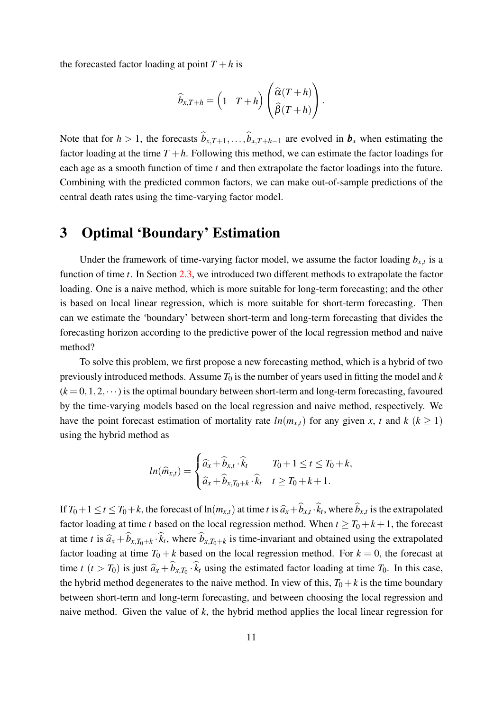the forecasted factor loading at point  $T + h$  is

$$
\widehat{b}_{x,T+h} = \begin{pmatrix} 1 & T+h \end{pmatrix} \begin{pmatrix} \widehat{\alpha}(T+h) \\ \widehat{\beta}(T+h) \end{pmatrix}.
$$

Note that for  $h > 1$ , the forecasts  $\hat{b}_{x,T+1},...,\hat{b}_{x,T+h-1}$  are evolved in  $\mathbf{b}_x$  when estimating the factor loading at the time  $T + h$ . Following this method, we can estimate the factor loadings for each age as a smooth function of time *t* and then extrapolate the factor loadings into the future. Combining with the predicted common factors, we can make out-of-sample predictions of the central death rates using the time-varying factor model.

## <span id="page-10-0"></span>3 Optimal 'Boundary' Estimation

Under the framework of time-varying factor model, we assume the factor loading  $b_{x,t}$  is a function of time *t*. In Section [2.3,](#page-8-0) we introduced two different methods to extrapolate the factor loading. One is a naive method, which is more suitable for long-term forecasting; and the other is based on local linear regression, which is more suitable for short-term forecasting. Then can we estimate the 'boundary' between short-term and long-term forecasting that divides the forecasting horizon according to the predictive power of the local regression method and naive method?

To solve this problem, we first propose a new forecasting method, which is a hybrid of two previously introduced methods. Assume  $T_0$  is the number of years used in fitting the model and  $k$  $(k = 0, 1, 2, \dots)$  is the optimal boundary between short-term and long-term forecasting, favoured by the time-varying models based on the local regression and naive method, respectively. We have the point forecast estimation of mortality rate  $ln(m_{x,t})$  for any given *x*, *t* and  $k$  ( $k \ge 1$ ) using the hybrid method as

$$
ln(\widehat{m}_{x,t}) = \begin{cases} \widehat{a}_x + \widehat{b}_{x,t} \cdot \widehat{k}_t & T_0 + 1 \leq t \leq T_0 + k, \\ \widehat{a}_x + \widehat{b}_{x,T_0 + k} \cdot \widehat{k}_t & t \geq T_0 + k + 1. \end{cases}
$$

If  $T_0 + 1 \le t \le T_0 + k$ , the forecast of  $\ln(m_{x,t})$  at time t is  $\hat{a}_x + b_{x,t} \cdot k_t$ , where  $b_{x,t}$  is the extrapolated factor loading at time *t* based on the local regression method. When  $t \geq T_0 + k + 1$ , the forecast at time *t* is  $\hat{a}_x + b_{x,T_0+k} \cdot k_t$ , where  $b_{x,T_0+k}$  is time-invariant and obtained using the extrapolated factor loading at time  $T_0 + k$  based on the local regression method. For  $k = 0$ , the forecast at time *t*  $(t > T_0)$  is just  $\hat{a}_x + b_{x,T_0} \cdot k_t$  using the estimated factor loading at time  $T_0$ . In this case, the hybrid method degenerates to the naive method. In view of this,  $T_0 + k$  is the time boundary between short-term and long-term forecasting, and between choosing the local regression and naive method. Given the value of *k*, the hybrid method applies the local linear regression for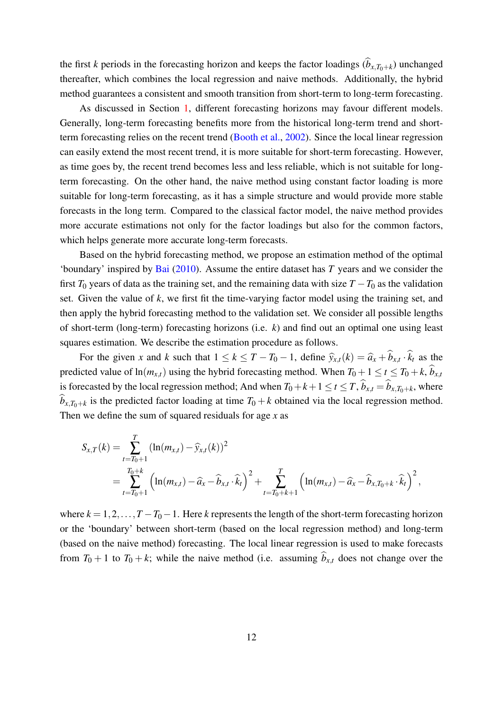the first *k* periods in the forecasting horizon and keeps the factor loadings  $(b_{x,T_0+k})$  unchanged thereafter, which combines the local regression and naive methods. Additionally, the hybrid method guarantees a consistent and smooth transition from short-term to long-term forecasting.

As discussed in Section [1,](#page-1-0) different forecasting horizons may favour different models. Generally, long-term forecasting benefits more from the historical long-term trend and shortterm forecasting relies on the recent trend [\(Booth et al.,](#page-31-2) [2002\)](#page-31-2). Since the local linear regression can easily extend the most recent trend, it is more suitable for short-term forecasting. However, as time goes by, the recent trend becomes less and less reliable, which is not suitable for longterm forecasting. On the other hand, the naive method using constant factor loading is more suitable for long-term forecasting, as it has a simple structure and would provide more stable forecasts in the long term. Compared to the classical factor model, the naive method provides more accurate estimations not only for the factor loadings but also for the common factors, which helps generate more accurate long-term forecasts.

Based on the hybrid forecasting method, we propose an estimation method of the optimal 'boundary' inspired by [Bai](#page-31-12) [\(2010\)](#page-31-12). Assume the entire dataset has *T* years and we consider the first  $T_0$  years of data as the training set, and the remaining data with size  $T - T_0$  as the validation set. Given the value of *k*, we first fit the time-varying factor model using the training set, and then apply the hybrid forecasting method to the validation set. We consider all possible lengths of short-term (long-term) forecasting horizons (i.e. *k*) and find out an optimal one using least squares estimation. We describe the estimation procedure as follows.

For the given *x* and *k* such that  $1 \le k \le T - T_0 - 1$ , define  $\hat{y}_{x,t}(k) = \hat{a}_x + b_{x,t} \cdot k_t$  as the predicted value of  $\ln(m_{x,t})$  using the hybrid forecasting method. When  $T_0 + 1 \le t \le T_0 + k$ ,  $\hat{b}_{x,t}$ is forecasted by the local regression method; And when  $T_0 + k + 1 \le t \le T$ ,  $b_{x,t} = b_{x,T_0+k}$ , where  $b_{x,T_0+k}$  is the predicted factor loading at time  $T_0 + k$  obtained via the local regression method. Then we define the sum of squared residuals for age *x* as

$$
S_{x,T}(k) = \sum_{t=T_0+1}^{T} (\ln(m_{x,t}) - \widehat{y}_{x,t}(k))^2
$$
  
= 
$$
\sum_{t=T_0+1}^{T_0+k} (\ln(m_{x,t}) - \widehat{a}_x - \widehat{b}_{x,t} \cdot \widehat{k}_t)^2 + \sum_{t=T_0+k+1}^{T} (\ln(m_{x,t}) - \widehat{a}_x - \widehat{b}_{x,T_0+k} \cdot \widehat{k}_t)^2,
$$

where  $k = 1, 2, ..., T - T_0 - 1$ . Here *k* represents the length of the short-term forecasting horizon or the 'boundary' between short-term (based on the local regression method) and long-term (based on the naive method) forecasting. The local linear regression is used to make forecasts from  $T_0 + 1$  to  $T_0 + k$ ; while the naive method (i.e. assuming  $\hat{b}_{x,t}$  does not change over the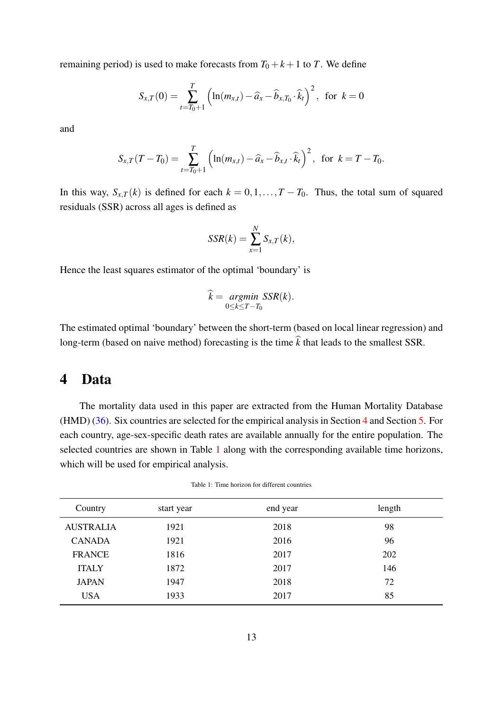remaining period) is used to make forecasts from  $T_0 + k + 1$  to *T*. We define

$$
S_{x,T}(0) = \sum_{t=T_0+1}^{T} \left( \ln(m_{x,t}) - \widehat{a}_x - \widehat{b}_{x,T_0} \cdot \widehat{k}_t \right)^2, \text{ for } k=0
$$

and

$$
S_{x,T}(T-T_0) = \sum_{t=T_0+1}^{T} \left( \ln(m_{x,t}) - \widehat{a}_x - \widehat{b}_{x,t} \cdot \widehat{k}_t \right)^2, \text{ for } k = T - T_0.
$$

In this way,  $S_{x,T}(k)$  is defined for each  $k = 0, 1, \ldots, T - T_0$ . Thus, the total sum of squared residuals (SSR) across all ages is defined as

$$
SSR(k) = \sum_{x=1}^{N} S_{x,T}(k),
$$

Hence the least squares estimator of the optimal 'boundary' is

$$
\widehat{k} = \underset{0 \le k \le T - T_0}{argmin} SSR(k).
$$

The estimated optimal 'boundary' between the short-term (based on local linear regression) and long-term (based on naive method) forecasting is the time  $\hat{k}$  that leads to the smallest SSR.

#### <span id="page-12-0"></span>4 Data

The mortality data used in this paper are extracted from the Human Mortality Database (HMD) [\(36\)](#page-33-6). Six countries are selected for the empirical analysis in Section [4](#page-12-0) and Section [5.](#page-13-0) For each country, age-sex-specific death rates are available annually for the entire population. The selected countries are shown in Table [1](#page-12-1) along with the corresponding available time horizons, which will be used for empirical analysis.

| Table 1: Time horizon for different countries |
|-----------------------------------------------|
|                                               |

<span id="page-12-1"></span>

| Country          | start year | end year | length |
|------------------|------------|----------|--------|
| <b>AUSTRALIA</b> | 1921       | 2018     | 98     |
| <b>CANADA</b>    | 1921       | 2016     | 96     |
| <b>FRANCE</b>    | 1816       | 2017     | 202    |
| <b>ITALY</b>     | 1872       | 2017     | 146    |
| <b>JAPAN</b>     | 1947       | 2018     | 72     |
| <b>USA</b>       | 1933       | 2017     | 85     |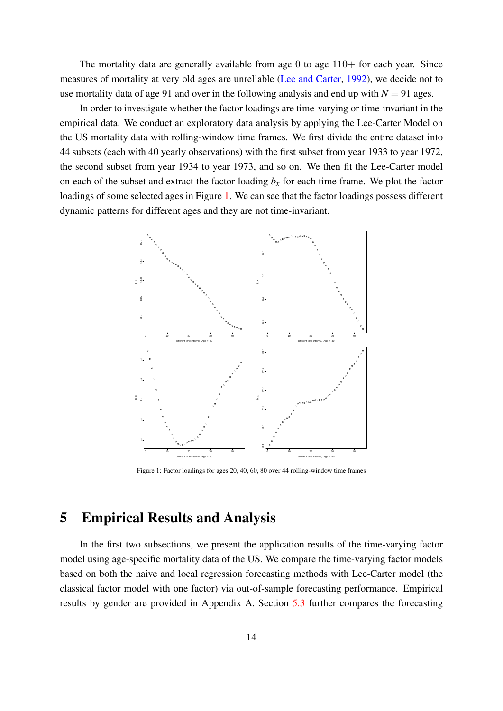The mortality data are generally available from age  $0$  to age  $110+$  for each year. Since measures of mortality at very old ages are unreliable [\(Lee and Carter,](#page-32-2) [1992\)](#page-32-2), we decide not to use mortality data of age 91 and over in the following analysis and end up with  $N = 91$  ages.

In order to investigate whether the factor loadings are time-varying or time-invariant in the empirical data. We conduct an exploratory data analysis by applying the Lee-Carter Model on the US mortality data with rolling-window time frames. We first divide the entire dataset into 44 subsets (each with 40 yearly observations) with the first subset from year 1933 to year 1972, the second subset from year 1934 to year 1973, and so on. We then fit the Lee-Carter model on each of the subset and extract the factor loading  $b<sub>x</sub>$  for each time frame. We plot the factor loadings of some selected ages in Figure [1.](#page-13-1) We can see that the factor loadings possess different dynamic patterns for different ages and they are not time-invariant.

<span id="page-13-1"></span>

Figure 1: Factor loadings for ages 20, 40, 60, 80 over 44 rolling-window time frames

# <span id="page-13-0"></span>5 Empirical Results and Analysis

In the first two subsections, we present the application results of the time-varying factor model using age-specific mortality data of the US. We compare the time-varying factor models based on both the naive and local regression forecasting methods with Lee-Carter model (the classical factor model with one factor) via out-of-sample forecasting performance. Empirical results by gender are provided in Appendix A. Section [5.3](#page-20-0) further compares the forecasting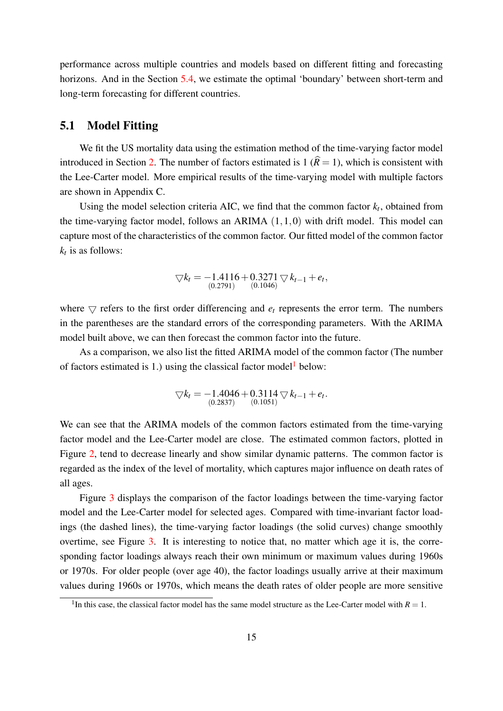performance across multiple countries and models based on different fitting and forecasting horizons. And in the Section [5.4,](#page-22-0) we estimate the optimal 'boundary' between short-term and long-term forecasting for different countries.

#### <span id="page-14-1"></span>5.1 Model Fitting

We fit the US mortality data using the estimation method of the time-varying factor model introduced in Section [2.](#page-3-0) The number of factors estimated is 1  $(\hat{R} = 1)$ , which is consistent with the Lee-Carter model. More empirical results of the time-varying model with multiple factors are shown in Appendix C.

Using the model selection criteria AIC, we find that the common factor  $k_t$ , obtained from the time-varying factor model, follows an ARIMA  $(1,1,0)$  with drift model. This model can capture most of the characteristics of the common factor. Our fitted model of the common factor  $k_t$  is as follows:

$$
\nabla k_t = -1.4116 + 0.3271 \nabla k_{t-1} + e_t,
$$
  
(0.2791) (0.1046)

where  $\bigtriangledown$  refers to the first order differencing and  $e_t$  represents the error term. The numbers in the parentheses are the standard errors of the corresponding parameters. With the ARIMA model built above, we can then forecast the common factor into the future.

As a comparison, we also list the fitted ARIMA model of the common factor (The number of factors estimated is [1](#page-14-0).) using the classical factor model below:

$$
\nabla k_t = -1.4046 + 0.3114 \nabla k_{t-1} + e_t.
$$
  
<sub>(0.2837)</sub> (0.1051)

We can see that the ARIMA models of the common factors estimated from the time-varying factor model and the Lee-Carter model are close. The estimated common factors, plotted in Figure [2,](#page-15-0) tend to decrease linearly and show similar dynamic patterns. The common factor is regarded as the index of the level of mortality, which captures major influence on death rates of all ages.

Figure [3](#page-16-0) displays the comparison of the factor loadings between the time-varying factor model and the Lee-Carter model for selected ages. Compared with time-invariant factor loadings (the dashed lines), the time-varying factor loadings (the solid curves) change smoothly overtime, see Figure [3.](#page-16-0) It is interesting to notice that, no matter which age it is, the corresponding factor loadings always reach their own minimum or maximum values during 1960s or 1970s. For older people (over age 40), the factor loadings usually arrive at their maximum values during 1960s or 1970s, which means the death rates of older people are more sensitive

<span id="page-14-0"></span><sup>&</sup>lt;sup>1</sup>In this case, the classical factor model has the same model structure as the Lee-Carter model with  $R = 1$ .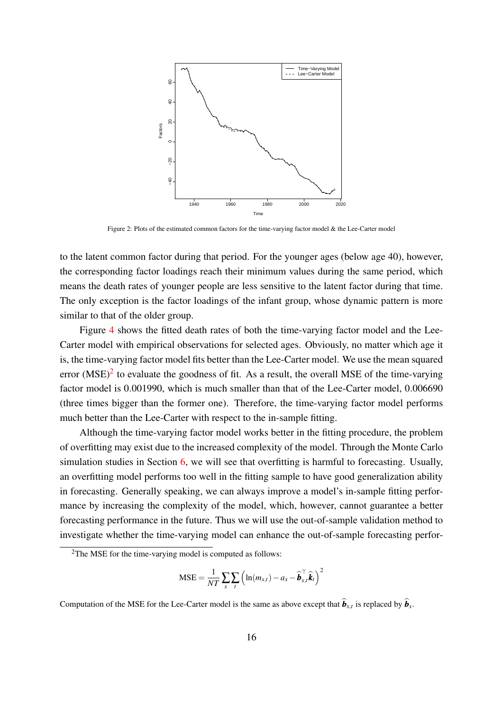<span id="page-15-0"></span>

Figure 2: Plots of the estimated common factors for the time-varying factor model & the Lee-Carter model

to the latent common factor during that period. For the younger ages (below age 40), however, the corresponding factor loadings reach their minimum values during the same period, which means the death rates of younger people are less sensitive to the latent factor during that time. The only exception is the factor loadings of the infant group, whose dynamic pattern is more similar to that of the older group.

Figure [4](#page-16-0) shows the fitted death rates of both the time-varying factor model and the Lee-Carter model with empirical observations for selected ages. Obviously, no matter which age it is, the time-varying factor model fits better than the Lee-Carter model. We use the mean squared error  $(MSE)^2$  $(MSE)^2$  to evaluate the goodness of fit. As a result, the overall MSE of the time-varying factor model is 0.001990, which is much smaller than that of the Lee-Carter model, 0.006690 (three times bigger than the former one). Therefore, the time-varying factor model performs much better than the Lee-Carter with respect to the in-sample fitting.

Although the time-varying factor model works better in the fitting procedure, the problem of overfitting may exist due to the increased complexity of the model. Through the Monte Carlo simulation studies in Section [6,](#page-26-0) we will see that overfitting is harmful to forecasting. Usually, an overfitting model performs too well in the fitting sample to have good generalization ability in forecasting. Generally speaking, we can always improve a model's in-sample fitting performance by increasing the complexity of the model, which, however, cannot guarantee a better forecasting performance in the future. Thus we will use the out-of-sample validation method to investigate whether the time-varying model can enhance the out-of-sample forecasting perfor-

$$
\text{MSE} = \frac{1}{NT} \sum_{x} \sum_{t} \left( \ln(m_{x,t}) - a_x - \widehat{\boldsymbol{b}}_{x,t}^{\top} \widehat{\boldsymbol{k}}_t \right)^2
$$

Computation of the MSE for the Lee-Carter model is the same as above except that  $\mathbf{b}_{x,t}$  is replaced by  $\mathbf{b}_x$ .

<span id="page-15-1"></span><sup>&</sup>lt;sup>2</sup>The MSE for the time-varying model is computed as follows: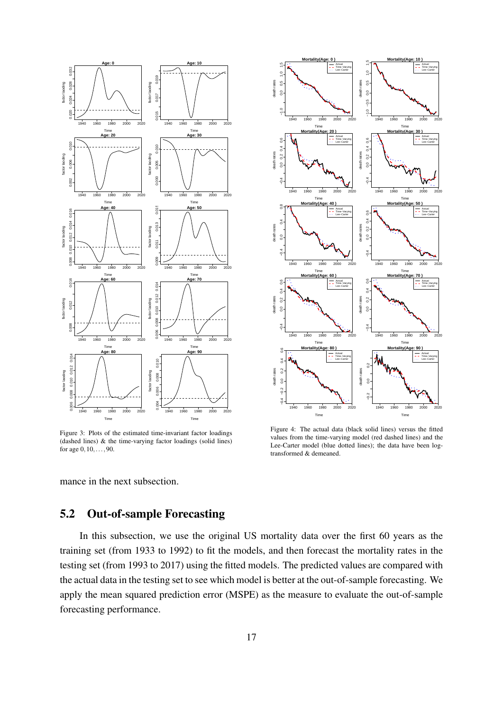<span id="page-16-0"></span>

Figure 3: Plots of the estimated time-invariant factor loadings (dashed lines) & the time-varying factor loadings (solid lines) for age  $0, 10, \ldots, 90$ .



Figure 4: The actual data (black solid lines) versus the fitted values from the time-varying model (red dashed lines) and the Lee-Carter model (blue dotted lines); the data have been logtransformed & demeaned.

mance in the next subsection.

#### 5.2 Out-of-sample Forecasting

In this subsection, we use the original US mortality data over the first 60 years as the training set (from 1933 to 1992) to fit the models, and then forecast the mortality rates in the testing set (from 1993 to 2017) using the fitted models. The predicted values are compared with the actual data in the testing set to see which model is better at the out-of-sample forecasting. We apply the mean squared prediction error (MSPE) as the measure to evaluate the out-of-sample forecasting performance.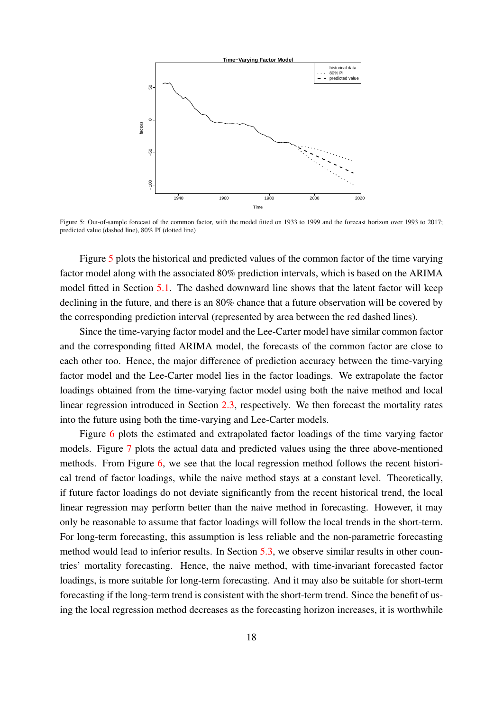<span id="page-17-0"></span>

Figure 5: Out-of-sample forecast of the common factor, with the model fitted on 1933 to 1999 and the forecast horizon over 1993 to 2017; predicted value (dashed line), 80% PI (dotted line)

Figure [5](#page-17-0) plots the historical and predicted values of the common factor of the time varying factor model along with the associated 80% prediction intervals, which is based on the ARIMA model fitted in Section [5.1.](#page-14-1) The dashed downward line shows that the latent factor will keep declining in the future, and there is an 80% chance that a future observation will be covered by the corresponding prediction interval (represented by area between the red dashed lines).

Since the time-varying factor model and the Lee-Carter model have similar common factor and the corresponding fitted ARIMA model, the forecasts of the common factor are close to each other too. Hence, the major difference of prediction accuracy between the time-varying factor model and the Lee-Carter model lies in the factor loadings. We extrapolate the factor loadings obtained from the time-varying factor model using both the naive method and local linear regression introduced in Section [2.3,](#page-8-0) respectively. We then forecast the mortality rates into the future using both the time-varying and Lee-Carter models.

Figure [6](#page-18-0) plots the estimated and extrapolated factor loadings of the time varying factor models. Figure [7](#page-18-0) plots the actual data and predicted values using the three above-mentioned methods. From Figure [6,](#page-18-0) we see that the local regression method follows the recent historical trend of factor loadings, while the naive method stays at a constant level. Theoretically, if future factor loadings do not deviate significantly from the recent historical trend, the local linear regression may perform better than the naive method in forecasting. However, it may only be reasonable to assume that factor loadings will follow the local trends in the short-term. For long-term forecasting, this assumption is less reliable and the non-parametric forecasting method would lead to inferior results. In Section [5.3,](#page-20-0) we observe similar results in other countries' mortality forecasting. Hence, the naive method, with time-invariant forecasted factor loadings, is more suitable for long-term forecasting. And it may also be suitable for short-term forecasting if the long-term trend is consistent with the short-term trend. Since the benefit of using the local regression method decreases as the forecasting horizon increases, it is worthwhile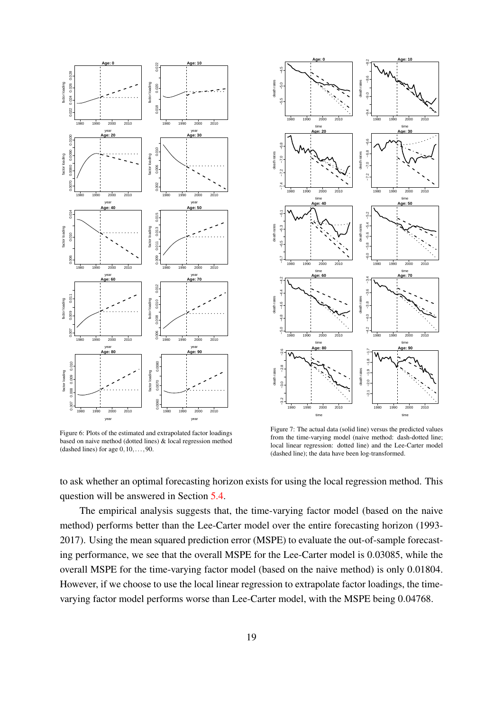<span id="page-18-0"></span>

Figure 6: Plots of the estimated and extrapolated factor loadings based on naive method (dotted lines) & local regression method (dashed lines) for age  $0, 10, \ldots, 90$ .



Figure 7: The actual data (solid line) versus the predicted values from the time-varying model (naive method: dash-dotted line; local linear regression: dotted line) and the Lee-Carter model (dashed line); the data have been log-transformed.

to ask whether an optimal forecasting horizon exists for using the local regression method. This question will be answered in Section [5.4.](#page-22-0)

The empirical analysis suggests that, the time-varying factor model (based on the naive method) performs better than the Lee-Carter model over the entire forecasting horizon (1993- 2017). Using the mean squared prediction error (MSPE) to evaluate the out-of-sample forecasting performance, we see that the overall MSPE for the Lee-Carter model is 0.03085, while the overall MSPE for the time-varying factor model (based on the naive method) is only 0.01804. However, if we choose to use the local linear regression to extrapolate factor loadings, the timevarying factor model performs worse than Lee-Carter model, with the MSPE being 0.04768.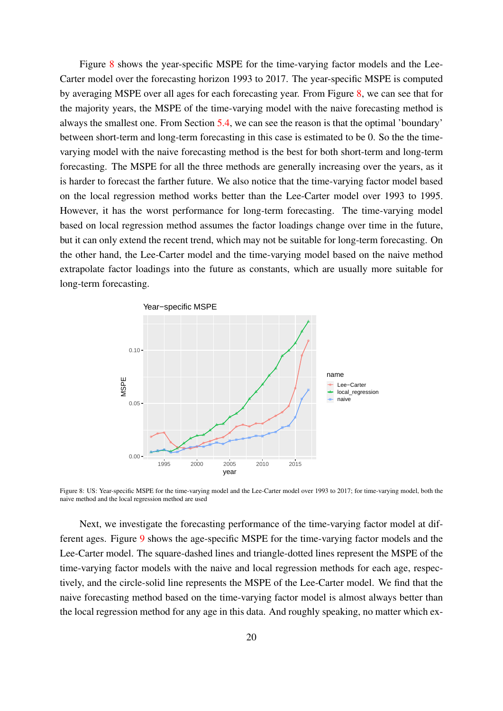Figure [8](#page-19-0) shows the year-specific MSPE for the time-varying factor models and the Lee-Carter model over the forecasting horizon 1993 to 2017. The year-specific MSPE is computed by averaging MSPE over all ages for each forecasting year. From Figure [8,](#page-19-0) we can see that for the majority years, the MSPE of the time-varying model with the naive forecasting method is always the smallest one. From Section [5.4,](#page-22-0) we can see the reason is that the optimal 'boundary' between short-term and long-term forecasting in this case is estimated to be 0. So the the timevarying model with the naive forecasting method is the best for both short-term and long-term forecasting. The MSPE for all the three methods are generally increasing over the years, as it is harder to forecast the farther future. We also notice that the time-varying factor model based on the local regression method works better than the Lee-Carter model over 1993 to 1995. However, it has the worst performance for long-term forecasting. The time-varying model based on local regression method assumes the factor loadings change over time in the future, but it can only extend the recent trend, which may not be suitable for long-term forecasting. On the other hand, the Lee-Carter model and the time-varying model based on the naive method extrapolate factor loadings into the future as constants, which are usually more suitable for long-term forecasting.

<span id="page-19-0"></span>

Figure 8: US: Year-specific MSPE for the time-varying model and the Lee-Carter model over 1993 to 2017; for time-varying model, both the naive method and the local regression method are used

Next, we investigate the forecasting performance of the time-varying factor model at different ages. Figure [9](#page-20-1) shows the age-specific MSPE for the time-varying factor models and the Lee-Carter model. The square-dashed lines and triangle-dotted lines represent the MSPE of the time-varying factor models with the naive and local regression methods for each age, respectively, and the circle-solid line represents the MSPE of the Lee-Carter model. We find that the naive forecasting method based on the time-varying factor model is almost always better than the local regression method for any age in this data. And roughly speaking, no matter which ex-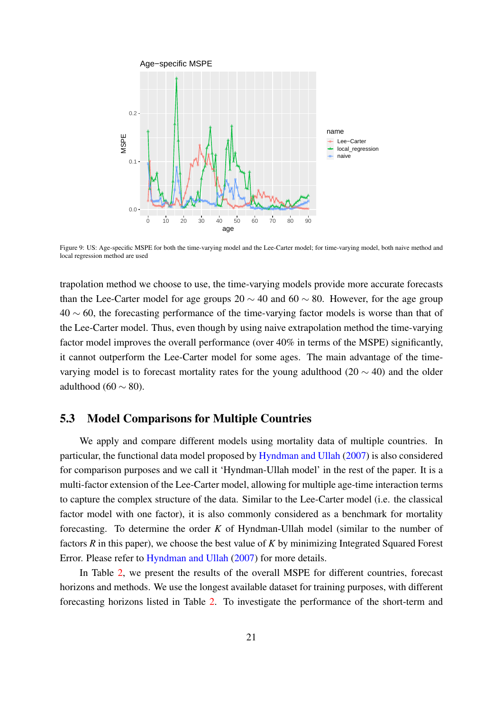<span id="page-20-1"></span>

Figure 9: US: Age-specific MSPE for both the time-varying model and the Lee-Carter model; for time-varying model, both naive method and local regression method are used

trapolation method we choose to use, the time-varying models provide more accurate forecasts than the Lee-Carter model for age groups 20  $\sim$  40 and 60  $\sim$  80. However, for the age group 40 ∼ 60, the forecasting performance of the time-varying factor models is worse than that of the Lee-Carter model. Thus, even though by using naive extrapolation method the time-varying factor model improves the overall performance (over 40% in terms of the MSPE) significantly, it cannot outperform the Lee-Carter model for some ages. The main advantage of the timevarying model is to forecast mortality rates for the young adulthood (20  $\sim$  40) and the older adulthood (60  $\sim$  80).

#### <span id="page-20-0"></span>5.3 Model Comparisons for Multiple Countries

We apply and compare different models using mortality data of multiple countries. In particular, the functional data model proposed by [Hyndman and Ullah](#page-32-8) [\(2007\)](#page-32-8) is also considered for comparison purposes and we call it 'Hyndman-Ullah model' in the rest of the paper. It is a multi-factor extension of the Lee-Carter model, allowing for multiple age-time interaction terms to capture the complex structure of the data. Similar to the Lee-Carter model (i.e. the classical factor model with one factor), it is also commonly considered as a benchmark for mortality forecasting. To determine the order *K* of Hyndman-Ullah model (similar to the number of factors *R* in this paper), we choose the best value of *K* by minimizing Integrated Squared Forest Error. Please refer to [Hyndman and Ullah](#page-32-8) [\(2007\)](#page-32-8) for more details.

In Table [2,](#page-21-0) we present the results of the overall MSPE for different countries, forecast horizons and methods. We use the longest available dataset for training purposes, with different forecasting horizons listed in Table [2.](#page-21-0) To investigate the performance of the short-term and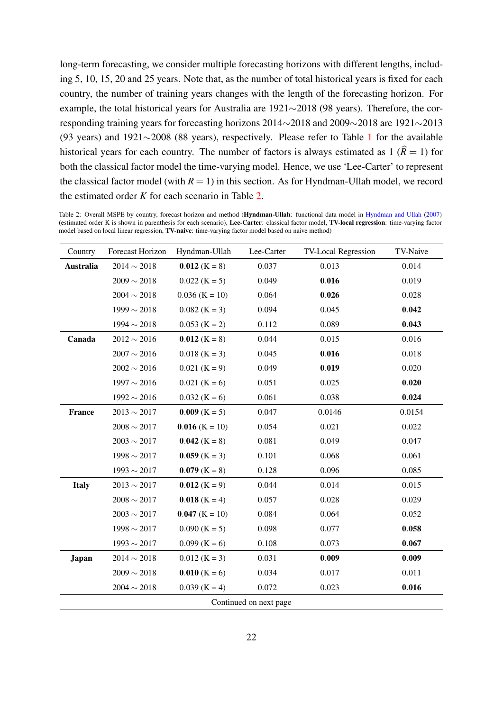long-term forecasting, we consider multiple forecasting horizons with different lengths, including 5, 10, 15, 20 and 25 years. Note that, as the number of total historical years is fixed for each country, the number of training years changes with the length of the forecasting horizon. For example, the total historical years for Australia are 1921∼2018 (98 years). Therefore, the corresponding training years for forecasting horizons 2014∼2018 and 2009∼2018 are 1921∼2013 (93 years) and 1921∼2008 (88 years), respectively. Please refer to Table [1](#page-12-1) for the available historical years for each country. The number of factors is always estimated as  $1 \hat{R} = 1$  for both the classical factor model the time-varying model. Hence, we use 'Lee-Carter' to represent the classical factor model (with  $R = 1$ ) in this section. As for Hyndman-Ullah model, we record the estimated order *K* for each scenario in Table [2.](#page-21-0)

<span id="page-21-0"></span>Table 2: Overall MSPE by country, forecast horizon and method (Hyndman-Ullah: functional data model in [Hyndman and Ullah](#page-32-8) [\(2007\)](#page-32-8) (estimated order K is shown in parenthesis for each scenario), Lee-Carter: classical factor model, TV-local regression: time-varying factor model based on local linear regression, TV-naive: time-varying factor model based on naive method)

| Country                | Forecast Horizon | Hyndman-Ullah    | Lee-Carter | <b>TV-Local Regression</b> | TV-Naive |  |  |
|------------------------|------------------|------------------|------------|----------------------------|----------|--|--|
| <b>Australia</b>       | $2014 \sim 2018$ | $0.012$ (K = 8)  | 0.037      | 0.013                      | 0.014    |  |  |
|                        | $2009 \sim 2018$ | $0.022$ (K = 5)  | 0.049      | 0.016                      | 0.019    |  |  |
|                        | $2004 \sim 2018$ | $0.036$ (K = 10) | 0.064      | 0.026                      | 0.028    |  |  |
|                        | $1999 \sim 2018$ | $0.082$ (K = 3)  | 0.094      | 0.045                      | 0.042    |  |  |
|                        | $1994 \sim 2018$ | $0.053$ (K = 2)  | 0.112      | 0.089                      | 0.043    |  |  |
| Canada                 | $2012 \sim 2016$ | $0.012$ (K = 8)  | 0.044      | 0.015                      | 0.016    |  |  |
|                        | $2007 \sim 2016$ | $0.018$ (K = 3)  | 0.045      | 0.016                      | 0.018    |  |  |
|                        | $2002 \sim 2016$ | $0.021$ (K = 9)  | 0.049      | 0.019                      | 0.020    |  |  |
|                        | $1997 \sim 2016$ | $0.021$ (K = 6)  | 0.051      | 0.025                      | 0.020    |  |  |
|                        | $1992 \sim 2016$ | $0.032$ (K = 6)  | 0.061      | 0.038                      | 0.024    |  |  |
| <b>France</b>          | $2013 \sim 2017$ | $0.009$ (K = 5)  | 0.047      | 0.0146                     | 0.0154   |  |  |
|                        | $2008\sim2017$   | $0.016$ (K = 10) | 0.054      | 0.021                      | 0.022    |  |  |
|                        | $2003 \sim 2017$ | $0.042$ (K = 8)  | 0.081      | 0.049                      | 0.047    |  |  |
|                        | $1998 \sim 2017$ | $0.059$ (K = 3)  | 0.101      | 0.068                      | 0.061    |  |  |
|                        | $1993 \sim 2017$ | $0.079$ (K = 8)  | 0.128      | 0.096                      | 0.085    |  |  |
| <b>Italy</b>           | $2013 \sim 2017$ | $0.012$ (K = 9)  | 0.044      | 0.014                      | 0.015    |  |  |
|                        | $2008 \sim 2017$ | $0.018$ (K = 4)  | 0.057      | 0.028                      | 0.029    |  |  |
|                        | $2003 \sim 2017$ | $0.047$ (K = 10) | 0.084      | 0.064                      | 0.052    |  |  |
|                        | $1998 \sim 2017$ | $0.090$ (K = 5)  | 0.098      | 0.077                      | 0.058    |  |  |
|                        | $1993\sim2017$   | $0.099$ (K = 6)  | 0.108      | 0.073                      | 0.067    |  |  |
| <b>Japan</b>           | $2014 \sim 2018$ | $0.012$ (K = 3)  | 0.031      | 0.009                      | 0.009    |  |  |
|                        | $2009 \sim 2018$ | $0.010$ (K = 6)  | 0.034      | 0.017                      | 0.011    |  |  |
|                        | $2004 \sim 2018$ | $0.039$ (K = 4)  | 0.072      | 0.023                      | 0.016    |  |  |
| Continued on next page |                  |                  |            |                            |          |  |  |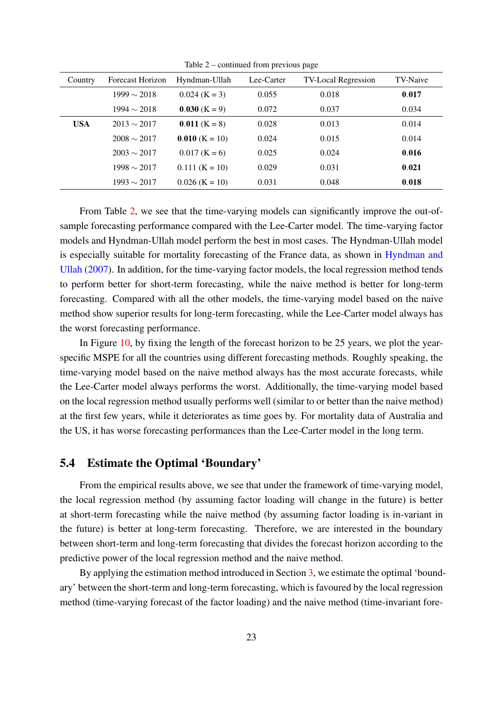| Country    | Forecast Horizon | Hyndman-Ullah    | Lee-Carter | <b>TV-Local Regression</b> | TV-Naive |
|------------|------------------|------------------|------------|----------------------------|----------|
|            | $1999 \sim 2018$ | $0.024$ (K = 3)  | 0.055      | 0.018                      | 0.017    |
|            | $1994 \sim 2018$ | $0.030$ (K = 9)  | 0.072      | 0.037                      | 0.034    |
| <b>USA</b> | $2013 \sim 2017$ | $0.011$ (K = 8)  | 0.028      | 0.013                      | 0.014    |
|            | $2008 \sim 2017$ | $0.010$ (K = 10) | 0.024      | 0.015                      | 0.014    |
|            | $2003 \sim 2017$ | $0.017$ (K = 6)  | 0.025      | 0.024                      | 0.016    |
|            | $1998 \sim 2017$ | $0.111$ (K = 10) | 0.029      | 0.031                      | 0.021    |
|            | $1993 \sim 2017$ | $0.026$ (K = 10) | 0.031      | 0.048                      | 0.018    |

Table 2 – continued from previous page

From Table [2,](#page-21-0) we see that the time-varying models can significantly improve the out-ofsample forecasting performance compared with the Lee-Carter model. The time-varying factor models and Hyndman-Ullah model perform the best in most cases. The Hyndman-Ullah model is especially suitable for mortality forecasting of the France data, as shown in [Hyndman and](#page-32-8) [Ullah](#page-32-8) [\(2007\)](#page-32-8). In addition, for the time-varying factor models, the local regression method tends to perform better for short-term forecasting, while the naive method is better for long-term forecasting. Compared with all the other models, the time-varying model based on the naive method show superior results for long-term forecasting, while the Lee-Carter model always has the worst forecasting performance.

In Figure [10,](#page-23-0) by fixing the length of the forecast horizon to be 25 years, we plot the yearspecific MSPE for all the countries using different forecasting methods. Roughly speaking, the time-varying model based on the naive method always has the most accurate forecasts, while the Lee-Carter model always performs the worst. Additionally, the time-varying model based on the local regression method usually performs well (similar to or better than the naive method) at the first few years, while it deteriorates as time goes by. For mortality data of Australia and the US, it has worse forecasting performances than the Lee-Carter model in the long term.

#### <span id="page-22-0"></span>5.4 Estimate the Optimal 'Boundary'

From the empirical results above, we see that under the framework of time-varying model, the local regression method (by assuming factor loading will change in the future) is better at short-term forecasting while the naive method (by assuming factor loading is in-variant in the future) is better at long-term forecasting. Therefore, we are interested in the boundary between short-term and long-term forecasting that divides the forecast horizon according to the predictive power of the local regression method and the naive method.

By applying the estimation method introduced in Section [3,](#page-10-0) we estimate the optimal 'boundary' between the short-term and long-term forecasting, which is favoured by the local regression method (time-varying forecast of the factor loading) and the naive method (time-invariant fore-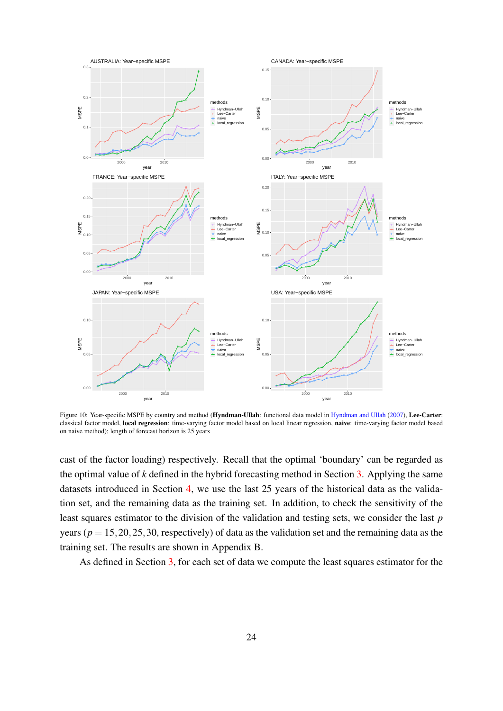<span id="page-23-0"></span>

Figure 10: Year-specific MSPE by country and method (Hyndman-Ullah: functional data model in [Hyndman and Ullah](#page-32-8) [\(2007\)](#page-32-8), Lee-Carter: classical factor model, local regression: time-varying factor model based on local linear regression, naive: time-varying factor model based on naive method); length of forecast horizon is 25 years

cast of the factor loading) respectively. Recall that the optimal 'boundary' can be regarded as the optimal value of *k* defined in the hybrid forecasting method in Section [3.](#page-10-0) Applying the same datasets introduced in Section [4,](#page-12-0) we use the last 25 years of the historical data as the validation set, and the remaining data as the training set. In addition, to check the sensitivity of the least squares estimator to the division of the validation and testing sets, we consider the last *p* years ( $p = 15, 20, 25, 30$ , respectively) of data as the validation set and the remaining data as the training set. The results are shown in Appendix B.

As defined in Section [3,](#page-10-0) for each set of data we compute the least squares estimator for the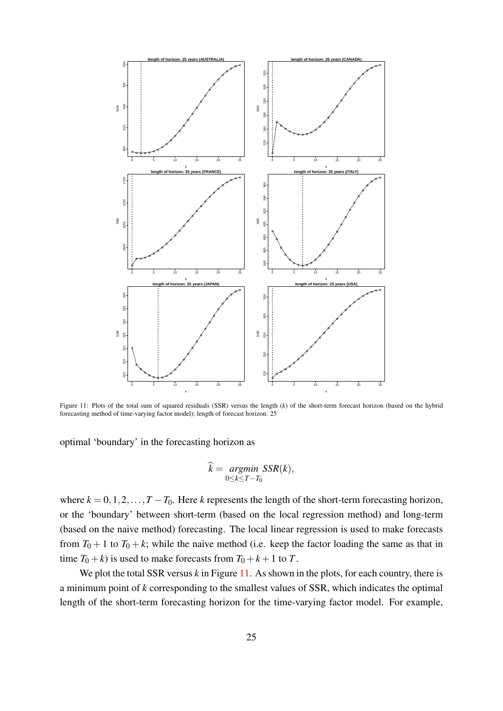<span id="page-24-0"></span>

Figure 11: Plots of the total sum of squared residuals (SSR) versus the length (*k*) of the short-term forecast horizon (based on the hybrid forecasting method of time-varying factor model); length of forecast horizon: 25

optimal 'boundary' in the forecasting horizon as

$$
\widehat{k} = \underset{0 \le k \le T - T_0}{argmin} \, \text{SSR}(k),
$$

where  $k = 0, 1, 2, \ldots, T - T_0$ . Here *k* represents the length of the short-term forecasting horizon, or the 'boundary' between short-term (based on the local regression method) and long-term (based on the naive method) forecasting. The local linear regression is used to make forecasts from  $T_0 + 1$  to  $T_0 + k$ ; while the naive method (i.e. keep the factor loading the same as that in time  $T_0 + k$ ) is used to make forecasts from  $T_0 + k + 1$  to *T*.

We plot the total SSR versus *k* in Figure [11.](#page-24-0) As shown in the plots, for each country, there is a minimum point of *k* corresponding to the smallest values of SSR, which indicates the optimal length of the short-term forecasting horizon for the time-varying factor model. For example,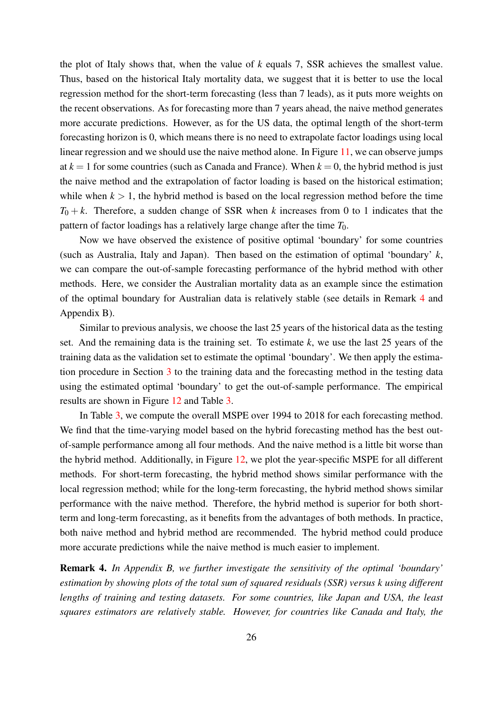the plot of Italy shows that, when the value of *k* equals 7, SSR achieves the smallest value. Thus, based on the historical Italy mortality data, we suggest that it is better to use the local regression method for the short-term forecasting (less than 7 leads), as it puts more weights on the recent observations. As for forecasting more than 7 years ahead, the naive method generates more accurate predictions. However, as for the US data, the optimal length of the short-term forecasting horizon is 0, which means there is no need to extrapolate factor loadings using local linear regression and we should use the naive method alone. In Figure [11,](#page-24-0) we can observe jumps at  $k = 1$  for some countries (such as Canada and France). When  $k = 0$ , the hybrid method is just the naive method and the extrapolation of factor loading is based on the historical estimation; while when  $k > 1$ , the hybrid method is based on the local regression method before the time  $T_0 + k$ . Therefore, a sudden change of SSR when *k* increases from 0 to 1 indicates that the pattern of factor loadings has a relatively large change after the time *T*0.

Now we have observed the existence of positive optimal 'boundary' for some countries (such as Australia, Italy and Japan). Then based on the estimation of optimal 'boundary' *k*, we can compare the out-of-sample forecasting performance of the hybrid method with other methods. Here, we consider the Australian mortality data as an example since the estimation of the optimal boundary for Australian data is relatively stable (see details in Remark [4](#page-25-0) and Appendix B).

Similar to previous analysis, we choose the last 25 years of the historical data as the testing set. And the remaining data is the training set. To estimate *k*, we use the last 25 years of the training data as the validation set to estimate the optimal 'boundary'. We then apply the estimation procedure in Section [3](#page-10-0) to the training data and the forecasting method in the testing data using the estimated optimal 'boundary' to get the out-of-sample performance. The empirical results are shown in Figure [12](#page-26-1) and Table [3.](#page-26-2)

In Table [3,](#page-26-2) we compute the overall MSPE over 1994 to 2018 for each forecasting method. We find that the time-varying model based on the hybrid forecasting method has the best outof-sample performance among all four methods. And the naive method is a little bit worse than the hybrid method. Additionally, in Figure [12,](#page-26-1) we plot the year-specific MSPE for all different methods. For short-term forecasting, the hybrid method shows similar performance with the local regression method; while for the long-term forecasting, the hybrid method shows similar performance with the naive method. Therefore, the hybrid method is superior for both shortterm and long-term forecasting, as it benefits from the advantages of both methods. In practice, both naive method and hybrid method are recommended. The hybrid method could produce more accurate predictions while the naive method is much easier to implement.

<span id="page-25-0"></span>Remark 4. *In Appendix B, we further investigate the sensitivity of the optimal 'boundary' estimation by showing plots of the total sum of squared residuals (SSR) versus k using different lengths of training and testing datasets. For some countries, like Japan and USA, the least squares estimators are relatively stable. However, for countries like Canada and Italy, the*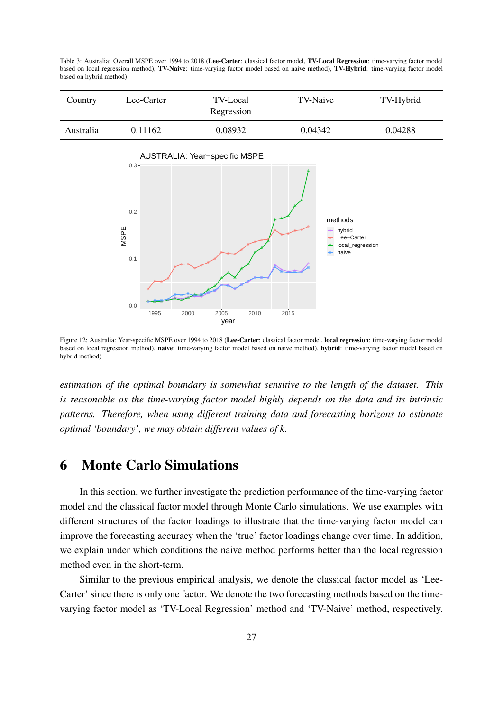<span id="page-26-2"></span>Table 3: Australia: Overall MSPE over 1994 to 2018 (Lee-Carter: classical factor model, TV-Local Regression: time-varying factor model based on local regression method), TV-Naive: time-varying factor model based on naive method), TV-Hybrid: time-varying factor model based on hybrid method)

| Country   | Lee-Carter | <b>TV-Local</b><br>Regression | TV-Naive | TV-Hybrid |
|-----------|------------|-------------------------------|----------|-----------|
| Australia | 0.11162    | 0.08932                       | 0.04342  | 0.04288   |

<span id="page-26-1"></span>

Figure 12: Australia: Year-specific MSPE over 1994 to 2018 (Lee-Carter: classical factor model, local regression: time-varying factor model based on local regression method), naive: time-varying factor model based on naive method), hybrid: time-varying factor model based on hybrid method)

*estimation of the optimal boundary is somewhat sensitive to the length of the dataset. This is reasonable as the time-varying factor model highly depends on the data and its intrinsic patterns. Therefore, when using different training data and forecasting horizons to estimate optimal 'boundary', we may obtain different values of k.*

### <span id="page-26-0"></span>6 Monte Carlo Simulations

In this section, we further investigate the prediction performance of the time-varying factor model and the classical factor model through Monte Carlo simulations. We use examples with different structures of the factor loadings to illustrate that the time-varying factor model can improve the forecasting accuracy when the 'true' factor loadings change over time. In addition, we explain under which conditions the naive method performs better than the local regression method even in the short-term.

Similar to the previous empirical analysis, we denote the classical factor model as 'Lee-Carter' since there is only one factor. We denote the two forecasting methods based on the timevarying factor model as 'TV-Local Regression' method and 'TV-Naive' method, respectively.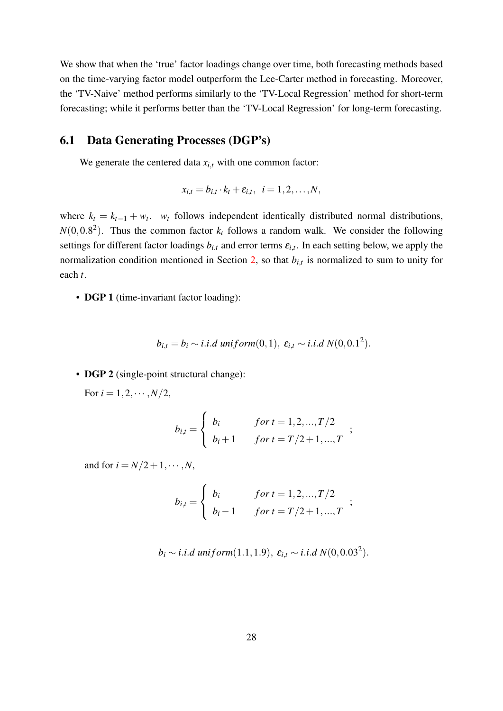We show that when the 'true' factor loadings change over time, both forecasting methods based on the time-varying factor model outperform the Lee-Carter method in forecasting. Moreover, the 'TV-Naive' method performs similarly to the 'TV-Local Regression' method for short-term forecasting; while it performs better than the 'TV-Local Regression' for long-term forecasting.

#### 6.1 Data Generating Processes (DGP's)

We generate the centered data  $x_{i,t}$  with one common factor:

$$
x_{i,t}=b_{i,t}\cdot k_t+\varepsilon_{i,t},\ \ i=1,2,\ldots,N,
$$

where  $k_t = k_{t-1} + w_t$ . *w<sub>t</sub>* follows independent identically distributed normal distributions,  $N(0,0.8^2)$ . Thus the common factor  $k_t$  follows a random walk. We consider the following settings for different factor loadings  $b_{i,t}$  and error terms  $\varepsilon_{i,t}$ . In each setting below, we apply the normalization condition mentioned in Section [2,](#page-3-0) so that  $b_{i,t}$  is normalized to sum to unity for each *t*.

• **DGP 1** (time-invariant factor loading):

$$
b_{i,t} = b_i \sim i.i.d\ uniform(0,1),\ \varepsilon_{i,t} \sim i.i.d\ N(0,0.1^2).
$$

• **DGP 2** (single-point structural change):

For  $i = 1, 2, \cdots, N/2$ ,

$$
b_{i,t} = \begin{cases} b_i & \text{for } t = 1, 2, ..., T/2 \\ b_i + 1 & \text{for } t = T/2 + 1, ..., T \end{cases}
$$
;

and for  $i = N/2 + 1, \cdots, N$ ,

$$
b_{i,t} = \begin{cases} b_i & \text{for } t = 1, 2, ..., T/2 \\ b_i - 1 & \text{for } t = T/2 + 1, ..., T \end{cases}
$$
;

$$
b_i \sim i.i.d
$$
 uniform(1.1, 1.9),  $\varepsilon_{i,t} \sim i.i.d$  N(0, 0.03<sup>2</sup>).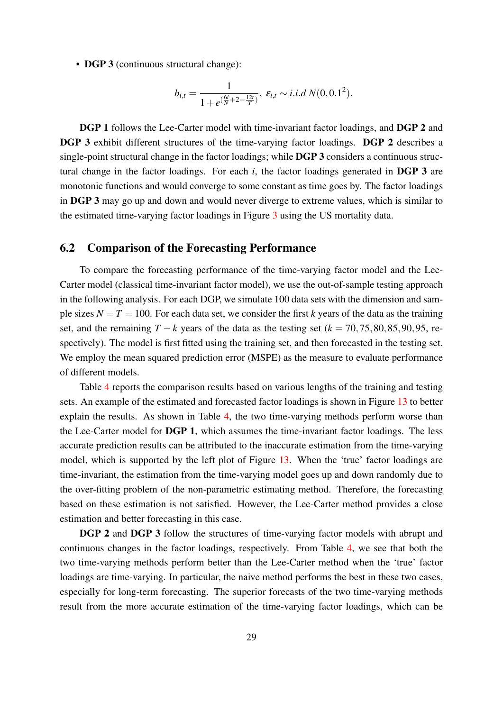• DGP 3 (continuous structural change):

$$
b_{i,t} = \frac{1}{1 + e^{(\frac{6i}{N} + 2 - \frac{12t}{T})}}, \ \varepsilon_{i,t} \sim i.i.d \ N(0, 0.1^2).
$$

DGP 1 follows the Lee-Carter model with time-invariant factor loadings, and DGP 2 and DGP 3 exhibit different structures of the time-varying factor loadings. DGP 2 describes a single-point structural change in the factor loadings; while DGP 3 considers a continuous structural change in the factor loadings. For each *i*, the factor loadings generated in DGP 3 are monotonic functions and would converge to some constant as time goes by. The factor loadings in DGP 3 may go up and down and would never diverge to extreme values, which is similar to the estimated time-varying factor loadings in Figure [3](#page-16-0) using the US mortality data.

#### 6.2 Comparison of the Forecasting Performance

To compare the forecasting performance of the time-varying factor model and the Lee-Carter model (classical time-invariant factor model), we use the out-of-sample testing approach in the following analysis. For each DGP, we simulate 100 data sets with the dimension and sample sizes  $N = T = 100$ . For each data set, we consider the first *k* years of the data as the training set, and the remaining  $T - k$  years of the data as the testing set ( $k = 70, 75, 80, 85, 90, 95$ , respectively). The model is first fitted using the training set, and then forecasted in the testing set. We employ the mean squared prediction error (MSPE) as the measure to evaluate performance of different models.

Table [4](#page-29-0) reports the comparison results based on various lengths of the training and testing sets. An example of the estimated and forecasted factor loadings is shown in Figure [13](#page-29-1) to better explain the results. As shown in Table [4,](#page-29-0) the two time-varying methods perform worse than the Lee-Carter model for DGP 1, which assumes the time-invariant factor loadings. The less accurate prediction results can be attributed to the inaccurate estimation from the time-varying model, which is supported by the left plot of Figure [13.](#page-29-1) When the 'true' factor loadings are time-invariant, the estimation from the time-varying model goes up and down randomly due to the over-fitting problem of the non-parametric estimating method. Therefore, the forecasting based on these estimation is not satisfied. However, the Lee-Carter method provides a close estimation and better forecasting in this case.

DGP 2 and DGP 3 follow the structures of time-varying factor models with abrupt and continuous changes in the factor loadings, respectively. From Table [4,](#page-29-0) we see that both the two time-varying methods perform better than the Lee-Carter method when the 'true' factor loadings are time-varying. In particular, the naive method performs the best in these two cases, especially for long-term forecasting. The superior forecasts of the two time-varying methods result from the more accurate estimation of the time-varying factor loadings, which can be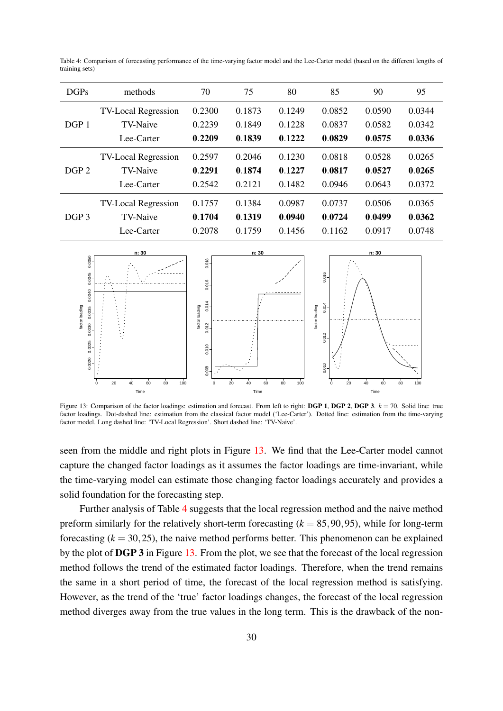| DGPs             | methods                    | 70     | 75     | 80     | 85     | 90     | 95     |
|------------------|----------------------------|--------|--------|--------|--------|--------|--------|
| DGP <sub>1</sub> | <b>TV-Local Regression</b> | 0.2300 | 0.1873 | 0.1249 | 0.0852 | 0.0590 | 0.0344 |
|                  | TV-Naive                   | 0.2239 | 0.1849 | 0.1228 | 0.0837 | 0.0582 | 0.0342 |
|                  | Lee-Carter                 | 0.2209 | 0.1839 | 0.1222 | 0.0829 | 0.0575 | 0.0336 |
| DGP <sub>2</sub> | <b>TV-Local Regression</b> | 0.2597 | 0.2046 | 0.1230 | 0.0818 | 0.0528 | 0.0265 |
|                  | <b>TV-Naive</b>            | 0.2291 | 0.1874 | 0.1227 | 0.0817 | 0.0527 | 0.0265 |
|                  | Lee-Carter                 | 0.2542 | 0.2121 | 0.1482 | 0.0946 | 0.0643 | 0.0372 |
| DGP <sub>3</sub> | <b>TV-Local Regression</b> | 0.1757 | 0.1384 | 0.0987 | 0.0737 | 0.0506 | 0.0365 |
|                  | <b>TV-Naive</b>            | 0.1704 | 0.1319 | 0.0940 | 0.0724 | 0.0499 | 0.0362 |
|                  | Lee-Carter                 | 0.2078 | 0.1759 | 0.1456 | 0.1162 | 0.0917 | 0.0748 |

<span id="page-29-0"></span>Table 4: Comparison of forecasting performance of the time-varying factor model and the Lee-Carter model (based on the different lengths of training sets)

<span id="page-29-1"></span>

Figure 13: Comparison of the factor loadings: estimation and forecast. From left to right: DGP 1, DGP 2, DGP 3. *k* = 70. Solid line: true factor loadings. Dot-dashed line: estimation from the classical factor model ('Lee-Carter'). Dotted line: estimation from the time-varying factor model. Long dashed line: 'TV-Local Regression'. Short dashed line: 'TV-Naive'.

seen from the middle and right plots in Figure [13.](#page-29-1) We find that the Lee-Carter model cannot capture the changed factor loadings as it assumes the factor loadings are time-invariant, while the time-varying model can estimate those changing factor loadings accurately and provides a solid foundation for the forecasting step.

Further analysis of Table [4](#page-29-0) suggests that the local regression method and the naive method preform similarly for the relatively short-term forecasting  $(k = 85, 90, 95)$ , while for long-term forecasting  $(k = 30, 25)$ , the naive method performs better. This phenomenon can be explained by the plot of DGP 3 in Figure [13.](#page-29-1) From the plot, we see that the forecast of the local regression method follows the trend of the estimated factor loadings. Therefore, when the trend remains the same in a short period of time, the forecast of the local regression method is satisfying. However, as the trend of the 'true' factor loadings changes, the forecast of the local regression method diverges away from the true values in the long term. This is the drawback of the non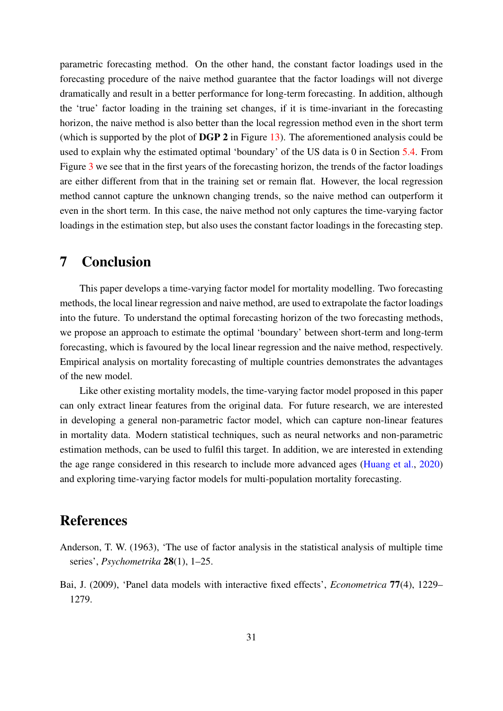parametric forecasting method. On the other hand, the constant factor loadings used in the forecasting procedure of the naive method guarantee that the factor loadings will not diverge dramatically and result in a better performance for long-term forecasting. In addition, although the 'true' factor loading in the training set changes, if it is time-invariant in the forecasting horizon, the naive method is also better than the local regression method even in the short term (which is supported by the plot of DGP 2 in Figure [13\)](#page-29-1). The aforementioned analysis could be used to explain why the estimated optimal 'boundary' of the US data is 0 in Section [5.4.](#page-22-0) From Figure [3](#page-16-0) we see that in the first years of the forecasting horizon, the trends of the factor loadings are either different from that in the training set or remain flat. However, the local regression method cannot capture the unknown changing trends, so the naive method can outperform it even in the short term. In this case, the naive method not only captures the time-varying factor loadings in the estimation step, but also uses the constant factor loadings in the forecasting step.

# <span id="page-30-2"></span>7 Conclusion

This paper develops a time-varying factor model for mortality modelling. Two forecasting methods, the local linear regression and naive method, are used to extrapolate the factor loadings into the future. To understand the optimal forecasting horizon of the two forecasting methods, we propose an approach to estimate the optimal 'boundary' between short-term and long-term forecasting, which is favoured by the local linear regression and the naive method, respectively. Empirical analysis on mortality forecasting of multiple countries demonstrates the advantages of the new model.

Like other existing mortality models, the time-varying factor model proposed in this paper can only extract linear features from the original data. For future research, we are interested in developing a general non-parametric factor model, which can capture non-linear features in mortality data. Modern statistical techniques, such as neural networks and non-parametric estimation methods, can be used to fulfil this target. In addition, we are interested in extending the age range considered in this research to include more advanced ages [\(Huang et al.,](#page-32-13) [2020\)](#page-32-13) and exploring time-varying factor models for multi-population mortality forecasting.

# References

- <span id="page-30-0"></span>Anderson, T. W. (1963), 'The use of factor analysis in the statistical analysis of multiple time series', *Psychometrika* 28(1), 1–25.
- <span id="page-30-1"></span>Bai, J. (2009), 'Panel data models with interactive fixed effects', *Econometrica* 77(4), 1229– 1279.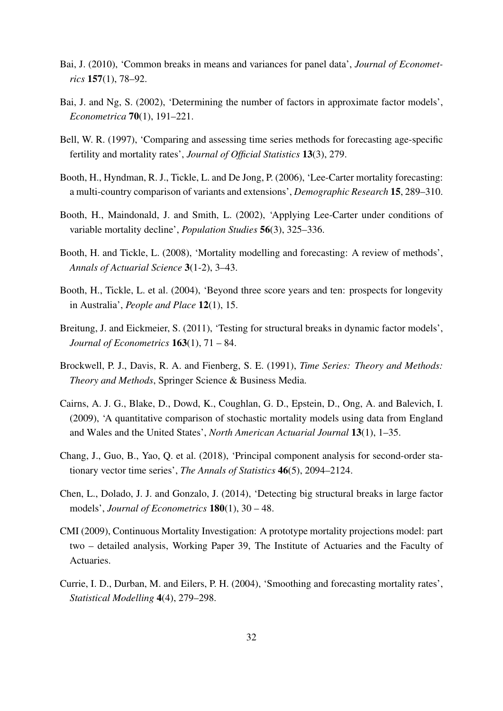- <span id="page-31-12"></span>Bai, J. (2010), 'Common breaks in means and variances for panel data', *Journal of Econometrics* 157(1), 78–92.
- <span id="page-31-0"></span>Bai, J. and Ng, S. (2002), 'Determining the number of factors in approximate factor models', *Econometrica* 70(1), 191–221.
- <span id="page-31-9"></span>Bell, W. R. (1997), 'Comparing and assessing time series methods for forecasting age-specific fertility and mortality rates', *Journal of Official Statistics* 13(3), 279.
- <span id="page-31-3"></span>Booth, H., Hyndman, R. J., Tickle, L. and De Jong, P. (2006), 'Lee-Carter mortality forecasting: a multi-country comparison of variants and extensions', *Demographic Research* 15, 289–310.
- <span id="page-31-2"></span>Booth, H., Maindonald, J. and Smith, L. (2002), 'Applying Lee-Carter under conditions of variable mortality decline', *Population Studies* 56(3), 325–336.
- <span id="page-31-5"></span>Booth, H. and Tickle, L. (2008), 'Mortality modelling and forecasting: A review of methods', *Annals of Actuarial Science* 3(1-2), 3–43.
- <span id="page-31-4"></span>Booth, H., Tickle, L. et al. (2004), 'Beyond three score years and ten: prospects for longevity in Australia', *People and Place* 12(1), 15.
- <span id="page-31-6"></span>Breitung, J. and Eickmeier, S. (2011), 'Testing for structural breaks in dynamic factor models', *Journal of Econometrics* 163(1), 71 – 84.
- <span id="page-31-13"></span>Brockwell, P. J., Davis, R. A. and Fienberg, S. E. (1991), *Time Series: Theory and Methods: Theory and Methods*, Springer Science & Business Media.
- <span id="page-31-8"></span>Cairns, A. J. G., Blake, D., Dowd, K., Coughlan, G. D., Epstein, D., Ong, A. and Balevich, I. (2009), 'A quantitative comparison of stochastic mortality models using data from England and Wales and the United States', *North American Actuarial Journal* 13(1), 1–35.
- <span id="page-31-1"></span>Chang, J., Guo, B., Yao, Q. et al. (2018), 'Principal component analysis for second-order stationary vector time series', *The Annals of Statistics* 46(5), 2094–2124.
- <span id="page-31-7"></span>Chen, L., Dolado, J. J. and Gonzalo, J. (2014), 'Detecting big structural breaks in large factor models', *Journal of Econometrics* 180(1), 30 – 48.
- <span id="page-31-10"></span>CMI (2009), Continuous Mortality Investigation: A prototype mortality projections model: part two – detailed analysis, Working Paper 39, The Institute of Actuaries and the Faculty of **Actuaries**
- <span id="page-31-11"></span>Currie, I. D., Durban, M. and Eilers, P. H. (2004), 'Smoothing and forecasting mortality rates', *Statistical Modelling* 4(4), 279–298.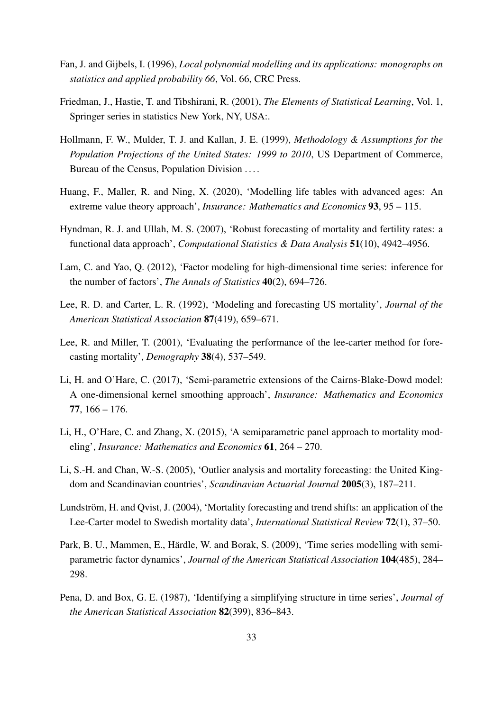- <span id="page-32-11"></span>Fan, J. and Gijbels, I. (1996), *Local polynomial modelling and its applications: monographs on statistics and applied probability 66*, Vol. 66, CRC Press.
- <span id="page-32-12"></span>Friedman, J., Hastie, T. and Tibshirani, R. (2001), *The Elements of Statistical Learning*, Vol. 1, Springer series in statistics New York, NY, USA:.
- <span id="page-32-3"></span>Hollmann, F. W., Mulder, T. J. and Kallan, J. E. (1999), *Methodology & Assumptions for the Population Projections of the United States: 1999 to 2010*, US Department of Commerce, Bureau of the Census, Population Division . . . .
- <span id="page-32-13"></span>Huang, F., Maller, R. and Ning, X. (2020), 'Modelling life tables with advanced ages: An extreme value theory approach', *Insurance: Mathematics and Economics* 93, 95 – 115.
- <span id="page-32-8"></span>Hyndman, R. J. and Ullah, M. S. (2007), 'Robust forecasting of mortality and fertility rates: a functional data approach', *Computational Statistics & Data Analysis* 51(10), 4942–4956.
- <span id="page-32-1"></span>Lam, C. and Yao, Q. (2012), 'Factor modeling for high-dimensional time series: inference for the number of factors', *The Annals of Statistics* 40(2), 694–726.
- <span id="page-32-2"></span>Lee, R. D. and Carter, L. R. (1992), 'Modeling and forecasting US mortality', *Journal of the American Statistical Association* 87(419), 659–671.
- <span id="page-32-9"></span>Lee, R. and Miller, T. (2001), 'Evaluating the performance of the lee-carter method for forecasting mortality', *Demography* 38(4), 537–549.
- <span id="page-32-6"></span>Li, H. and O'Hare, C. (2017), 'Semi-parametric extensions of the Cairns-Blake-Dowd model: A one-dimensional kernel smoothing approach', *Insurance: Mathematics and Economics* 77, 166 – 176.
- <span id="page-32-7"></span>Li, H., O'Hare, C. and Zhang, X. (2015), 'A semiparametric panel approach to mortality modeling', *Insurance: Mathematics and Economics* 61, 264 – 270.
- <span id="page-32-4"></span>Li, S.-H. and Chan, W.-S. (2005), 'Outlier analysis and mortality forecasting: the United Kingdom and Scandinavian countries', *Scandinavian Actuarial Journal* 2005(3), 187–211.
- <span id="page-32-5"></span>Lundström, H. and Qvist, J. (2004), 'Mortality forecasting and trend shifts: an application of the Lee-Carter model to Swedish mortality data', *International Statistical Review* 72(1), 37–50.
- <span id="page-32-10"></span>Park, B. U., Mammen, E., Härdle, W. and Borak, S. (2009), 'Time series modelling with semiparametric factor dynamics', *Journal of the American Statistical Association* 104(485), 284– 298.
- <span id="page-32-0"></span>Pena, D. and Box, G. E. (1987), 'Identifying a simplifying structure in time series', *Journal of the American Statistical Association* 82(399), 836–843.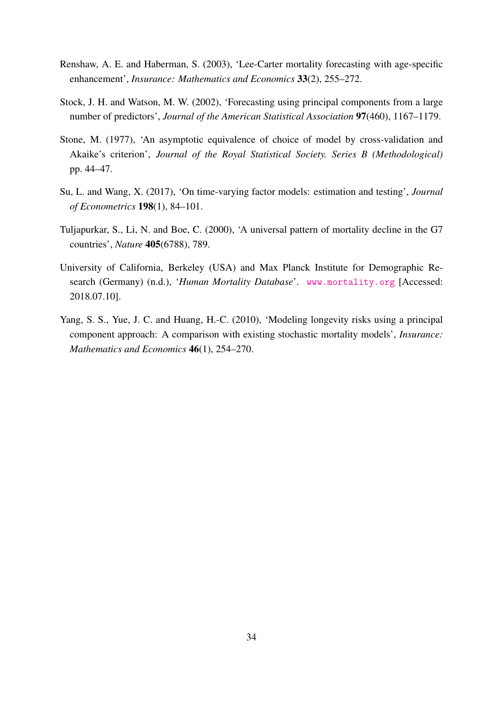- <span id="page-33-1"></span>Renshaw, A. E. and Haberman, S. (2003), 'Lee-Carter mortality forecasting with age-specific enhancement', *Insurance: Mathematics and Economics* 33(2), 255–272.
- <span id="page-33-0"></span>Stock, J. H. and Watson, M. W. (2002), 'Forecasting using principal components from a large number of predictors', *Journal of the American Statistical Association* 97(460), 1167–1179.
- <span id="page-33-5"></span>Stone, M. (1977), 'An asymptotic equivalence of choice of model by cross-validation and Akaike's criterion', *Journal of the Royal Statistical Society. Series B (Methodological)* pp. 44–47.
- <span id="page-33-4"></span>Su, L. and Wang, X. (2017), 'On time-varying factor models: estimation and testing', *Journal of Econometrics* 198(1), 84–101.
- <span id="page-33-3"></span>Tuljapurkar, S., Li, N. and Boe, C. (2000), 'A universal pattern of mortality decline in the G7 countries', *Nature* 405(6788), 789.
- <span id="page-33-6"></span>University of California, Berkeley (USA) and Max Planck Institute for Demographic Research (Germany) (n.d.), '*Human Mortality Database*'. <www.mortality.org> [Accessed: 2018.07.10].
- <span id="page-33-2"></span>Yang, S. S., Yue, J. C. and Huang, H.-C. (2010), 'Modeling longevity risks using a principal component approach: A comparison with existing stochastic mortality models', *Insurance: Mathematics and Economics* 46(1), 254–270.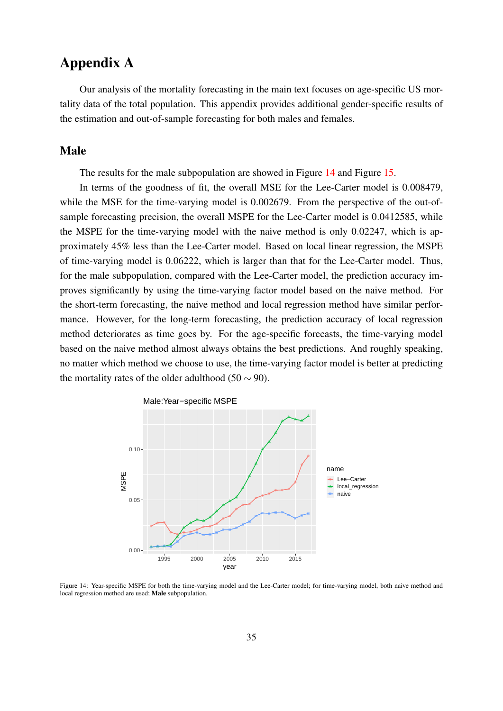# Appendix A

Our analysis of the mortality forecasting in the main text focuses on age-specific US mortality data of the total population. This appendix provides additional gender-specific results of the estimation and out-of-sample forecasting for both males and females.

#### Male

The results for the male subpopulation are showed in Figure [14](#page-34-0) and Figure [15.](#page-35-0)

In terms of the goodness of fit, the overall MSE for the Lee-Carter model is 0.008479, while the MSE for the time-varying model is 0.002679. From the perspective of the out-ofsample forecasting precision, the overall MSPE for the Lee-Carter model is 0.0412585, while the MSPE for the time-varying model with the naive method is only 0.02247, which is approximately 45% less than the Lee-Carter model. Based on local linear regression, the MSPE of time-varying model is 0.06222, which is larger than that for the Lee-Carter model. Thus, for the male subpopulation, compared with the Lee-Carter model, the prediction accuracy improves significantly by using the time-varying factor model based on the naive method. For the short-term forecasting, the naive method and local regression method have similar performance. However, for the long-term forecasting, the prediction accuracy of local regression method deteriorates as time goes by. For the age-specific forecasts, the time-varying model based on the naive method almost always obtains the best predictions. And roughly speaking, no matter which method we choose to use, the time-varying factor model is better at predicting the mortality rates of the older adulthood (50  $\sim$  90).

<span id="page-34-0"></span>

Figure 14: Year-specific MSPE for both the time-varying model and the Lee-Carter model; for time-varying model, both naive method and local regression method are used; Male subpopulation.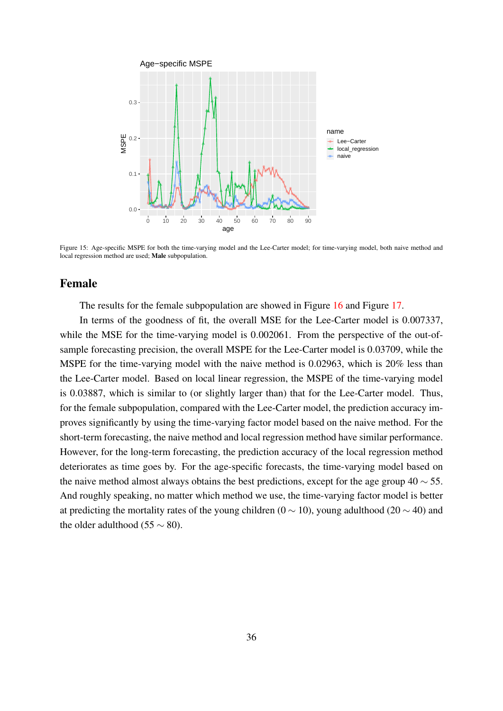<span id="page-35-0"></span>

Figure 15: Age-specific MSPE for both the time-varying model and the Lee-Carter model; for time-varying model, both naive method and local regression method are used; Male subpopulation.

#### Female

The results for the female subpopulation are showed in Figure [16](#page-36-0) and Figure [17.](#page-36-1)

In terms of the goodness of fit, the overall MSE for the Lee-Carter model is 0.007337, while the MSE for the time-varying model is 0.002061. From the perspective of the out-ofsample forecasting precision, the overall MSPE for the Lee-Carter model is 0.03709, while the MSPE for the time-varying model with the naive method is 0.02963, which is 20% less than the Lee-Carter model. Based on local linear regression, the MSPE of the time-varying model is 0.03887, which is similar to (or slightly larger than) that for the Lee-Carter model. Thus, for the female subpopulation, compared with the Lee-Carter model, the prediction accuracy improves significantly by using the time-varying factor model based on the naive method. For the short-term forecasting, the naive method and local regression method have similar performance. However, for the long-term forecasting, the prediction accuracy of the local regression method deteriorates as time goes by. For the age-specific forecasts, the time-varying model based on the naive method almost always obtains the best predictions, except for the age group  $40 \sim 55$ . And roughly speaking, no matter which method we use, the time-varying factor model is better at predicting the mortality rates of the young children (0  $\sim$  10), young adulthood (20  $\sim$  40) and the older adulthood (55  $\sim$  80).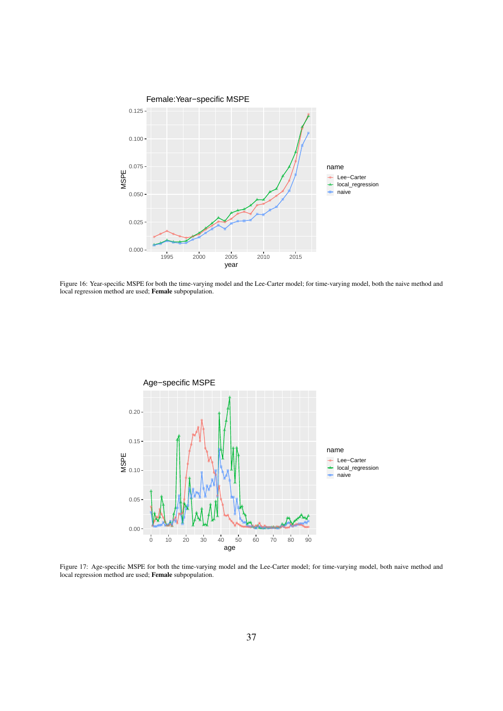<span id="page-36-0"></span>

Figure 16: Year-specific MSPE for both the time-varying model and the Lee-Carter model; for time-varying model, both the naive method and local regression method are used; Female subpopulation.

<span id="page-36-1"></span>

Figure 17: Age-specific MSPE for both the time-varying model and the Lee-Carter model; for time-varying model, both naive method and local regression method are used; Female subpopulation.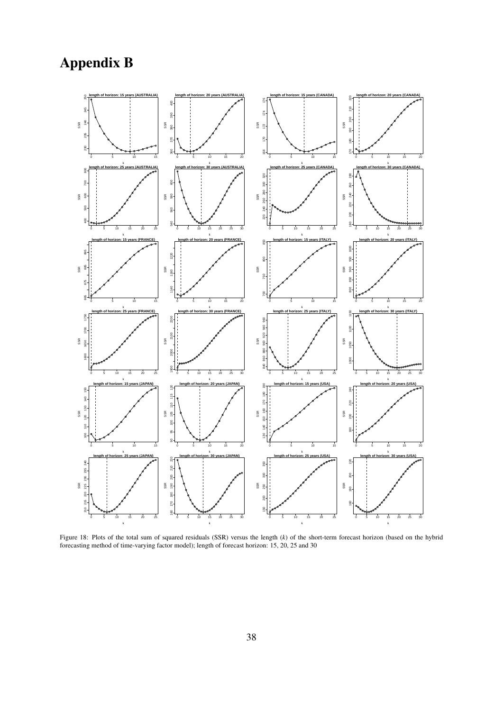# Appendix B



Figure 18: Plots of the total sum of squared residuals (SSR) versus the length (*k*) of the short-term forecast horizon (based on the hybrid forecasting method of time-varying factor model); length of forecast horizon: 15, 20, 25 and 30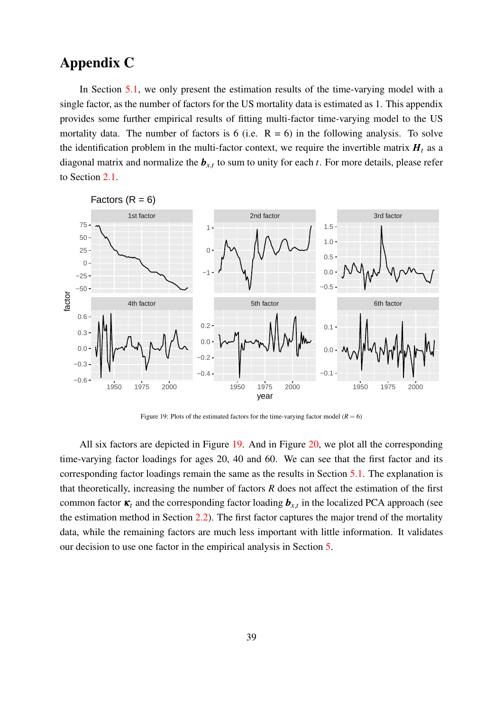# Appendix C

In Section [5.1,](#page-14-1) we only present the estimation results of the time-varying model with a single factor, as the number of factors for the US mortality data is estimated as 1. This appendix provides some further empirical results of fitting multi-factor time-varying model to the US mortality data. The number of factors is 6 (i.e.  $R = 6$ ) in the following analysis. To solve the identification problem in the multi-factor context, we require the invertible matrix  $H_t$  as a diagonal matrix and normalize the  $b_{x,t}$  to sum to unity for each  $t$ . For more details, please refer to Section [2.1.](#page-4-0)

<span id="page-38-0"></span>

Figure 19: Plots of the estimated factors for the time-varying factor model ( $R = 6$ )

All six factors are depicted in Figure [19.](#page-38-0) And in Figure [20,](#page-39-0) we plot all the corresponding time-varying factor loadings for ages 20, 40 and 60. We can see that the first factor and its corresponding factor loadings remain the same as the results in Section [5.1.](#page-14-1) The explanation is that theoretically, increasing the number of factors *R* does not affect the estimation of the first common factor  $\kappa_t$  and the corresponding factor loading  $\boldsymbol{b}_{x,t}$  in the localized PCA approach (see the estimation method in Section  $2.2$ ). The first factor captures the major trend of the mortality data, while the remaining factors are much less important with little information. It validates our decision to use one factor in the empirical analysis in Section [5.](#page-13-0)